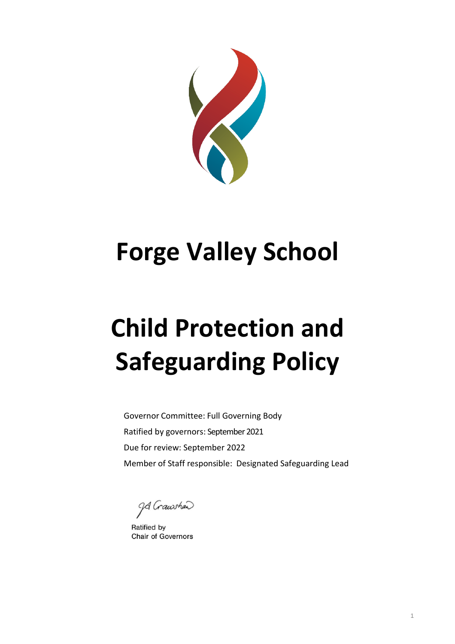

# **Forge Valley School**

# **Child Protection and Safeguarding Policy**

Governor Committee: Full Governing Body Ratified by governors: September 2021 Due for review: September 2022 Member of Staff responsible: Designated Safeguarding Lead

9 Grawshead

Ratified by **Chair of Governors**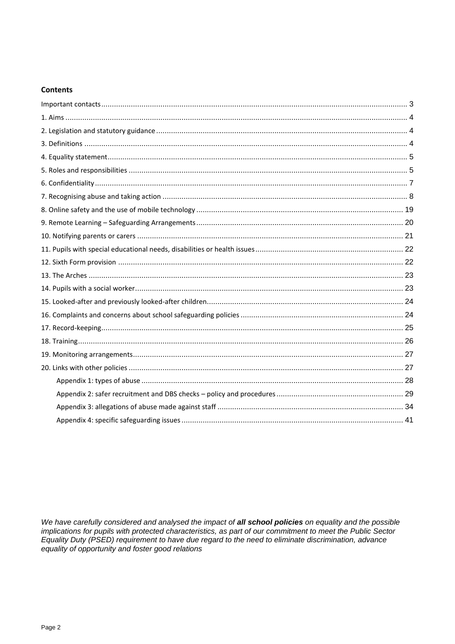## **Contents**

<span id="page-1-0"></span>We have carefully considered and analysed the impact of all school policies on equality and the possible implications for pupils with protected characteristics, as part of our commitment to meet the Public Sector Equality Duty (PSED) requirement to have due regard to the need to eliminate discrimination, advance equality of opportunity and foster good relations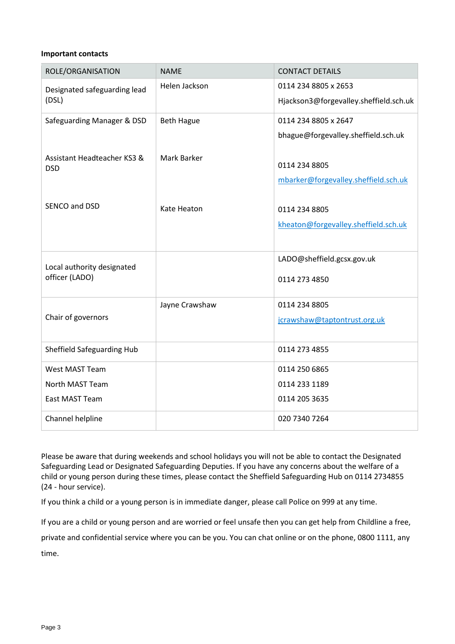#### **Important contacts**

| ROLE/ORGANISATION            | <b>NAME</b>       | <b>CONTACT DETAILS</b>                 |
|------------------------------|-------------------|----------------------------------------|
| Designated safeguarding lead | Helen Jackson     | 0114 234 8805 x 2653                   |
| (DSL)                        |                   | Hjackson3@forgevalley.sheffield.sch.uk |
| Safeguarding Manager & DSD   | <b>Beth Hague</b> | 0114 234 8805 x 2647                   |
|                              |                   | bhague@forgevalley.sheffield.sch.uk    |
| Assistant Headteacher KS3 &  | Mark Barker       |                                        |
| <b>DSD</b>                   |                   | 0114 234 8805                          |
|                              |                   | mbarker@forgevalley.sheffield.sch.uk   |
| SENCO and DSD                | Kate Heaton       | 0114 234 8805                          |
|                              |                   | kheaton@forgevalley.sheffield.sch.uk   |
|                              |                   |                                        |
|                              |                   |                                        |
| Local authority designated   |                   | LADO@sheffield.gcsx.gov.uk             |
| officer (LADO)               |                   | 0114 273 4850                          |
|                              |                   |                                        |
|                              | Jayne Crawshaw    | 0114 234 8805                          |
| Chair of governors           |                   | jcrawshaw@taptontrust.org.uk           |
|                              |                   |                                        |
| Sheffield Safeguarding Hub   |                   | 0114 273 4855                          |
| West MAST Team               |                   | 0114 250 6865                          |
| North MAST Team              |                   | 0114 233 1189                          |
| East MAST Team               |                   | 0114 205 3635                          |
| Channel helpline             |                   | 020 7340 7264                          |

Please be aware that during weekends and school holidays you will not be able to contact the Designated Safeguarding Lead or Designated Safeguarding Deputies. If you have any concerns about the welfare of a child or young person during these times, please contact the Sheffield Safeguarding Hub on 0114 2734855 (24 - hour service).

If you think a child or a young person is in immediate danger, please call Police on 999 at any time.

If you are a child or young person and are worried or feel unsafe then you can get help from Childline a free,

private and confidential service where you can be you. You can chat online or on the phone, 0800 1111, any time.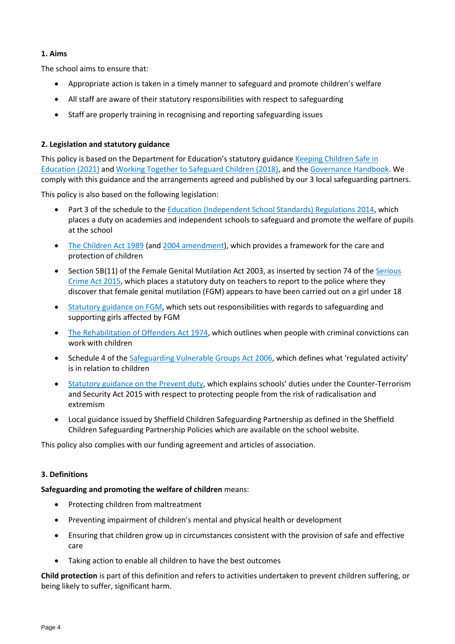## <span id="page-3-0"></span>**1. Aims**

The school aims to ensure that:

- Appropriate action is taken in a timely manner to safeguard and promote children's welfare
- All staff are aware of their statutory responsibilities with respect to safeguarding
- Staff are properly training in recognising and reporting safeguarding issues

## <span id="page-3-1"></span>**2. Legislation and statutory guidance**

This policy is based on the Department for Education's statutory guidance [Keeping Children Safe in](https://www.gov.uk/government/publications/keeping-children-safe-in-education--2)  [Education \(2021\)](https://www.gov.uk/government/publications/keeping-children-safe-in-education--2) and [Working Together to Safeguard Children \(2018\),](https://www.gov.uk/government/publications/working-together-to-safeguard-children--2) and th[e Governance Handbook.](https://www.gov.uk/government/publications/governance-handbook) We comply with this guidance and the arrangements agreed and published by our 3 local safeguarding partners.

This policy is also based on the following legislation:

- Part 3 of the schedule to the [Education \(Independent School Standards\) Regulations 2014,](http://www.legislation.gov.uk/uksi/2014/3283/schedule/part/3/made) which places a duty on academies and independent schools to safeguard and promote the welfare of pupils at the school
- [The Children Act 1989](http://www.legislation.gov.uk/ukpga/1989/41) (and [2004 amendment\)](http://www.legislation.gov.uk/ukpga/2004/31/contents), which provides a framework for the care and protection of children
- Section 5B(11) of the Female Genital Mutilation Act 2003, as inserted by section 74 of the Serious [Crime Act 2015,](http://www.legislation.gov.uk/ukpga/2015/9/part/5/crossheading/female-genital-mutilation) which places a statutory duty on teachers to report to the police where they discover that female genital mutilation (FGM) appears to have been carried out on a girl under 18
- [Statutory guidance on FGM,](https://www.gov.uk/government/publications/multi-agency-statutory-guidance-on-female-genital-mutilation) which sets out responsibilities with regards to safeguarding and supporting girls affected by FGM
- [The Rehabilitation of Offenders Act 1974,](http://www.legislation.gov.uk/ukpga/1974/53) which outlines when people with criminal convictions can work with children
- Schedule 4 of th[e Safeguarding Vulnerable Groups Act 2006](http://www.legislation.gov.uk/ukpga/2006/47/schedule/4), which defines what 'regulated activity' is in relation to children
- [Statutory guidance on the Prevent duty](https://www.gov.uk/government/publications/prevent-duty-guidance), which explains schools' duties under the Counter-Terrorism and Security Act 2015 with respect to protecting people from the risk of radicalisation and extremism
- Local guidance issued by Sheffield Children Safeguarding Partnership as defined in the Sheffield Children Safeguarding Partnership Policies which are available on the school website.

This policy also complies with our funding agreement and articles of association.

## <span id="page-3-2"></span>**3. Definitions**

## **Safeguarding and promoting the welfare of children** means:

- Protecting children from maltreatment
- Preventing impairment of children's mental and physical health or development
- Ensuring that children grow up in circumstances consistent with the provision of safe and effective care
- Taking action to enable all children to have the best outcomes

**Child protection** is part of this definition and refers to activities undertaken to prevent children suffering, or being likely to suffer, significant harm.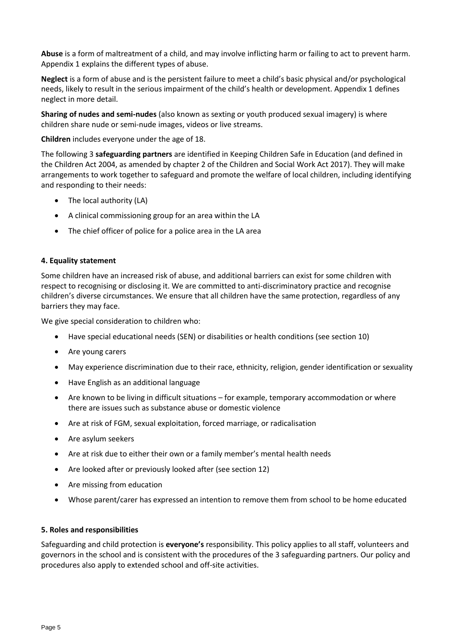**Abuse** is a form of maltreatment of a child, and may involve inflicting harm or failing to act to prevent harm. Appendix 1 explains the different types of abuse.

**Neglect** is a form of abuse and is the persistent failure to meet a child's basic physical and/or psychological needs, likely to result in the serious impairment of the child's health or development. Appendix 1 defines neglect in more detail.

**Sharing of nudes and semi-nudes** (also known as sexting or youth produced sexual imagery) is where children share nude or semi-nude images, videos or live streams.

**Children** includes everyone under the age of 18.

The following 3 **safeguarding partners** are identified in Keeping Children Safe in Education (and defined in the Children Act 2004, as amended by chapter 2 of the Children and Social Work Act 2017). They will make arrangements to work together to safeguard and promote the welfare of local children, including identifying and responding to their needs:

- The local authority (LA)
- A clinical commissioning group for an area within the LA
- The chief officer of police for a police area in the LA area

#### <span id="page-4-0"></span>**4. Equality statement**

Some children have an increased risk of abuse, and additional barriers can exist for some children with respect to recognising or disclosing it. We are committed to anti-discriminatory practice and recognise children's diverse circumstances. We ensure that all children have the same protection, regardless of any barriers they may face.

We give special consideration to children who:

- Have special educational needs (SEN) or disabilities or health conditions (see section 10)
- Are young carers
- May experience discrimination due to their race, ethnicity, religion, gender identification or sexuality
- Have English as an additional language
- Are known to be living in difficult situations for example, temporary accommodation or where there are issues such as substance abuse or domestic violence
- Are at risk of FGM, sexual exploitation, forced marriage, or radicalisation
- Are asylum seekers
- Are at risk due to either their own or a family member's mental health needs
- Are looked after or previously looked after (see section 12)
- Are missing from education
- Whose parent/carer has expressed an intention to remove them from school to be home educated

#### <span id="page-4-1"></span>**5. Roles and responsibilities**

Safeguarding and child protection is **everyone's** responsibility. This policy applies to all staff, volunteers and governors in the school and is consistent with the procedures of the 3 safeguarding partners. Our policy and procedures also apply to extended school and off-site activities.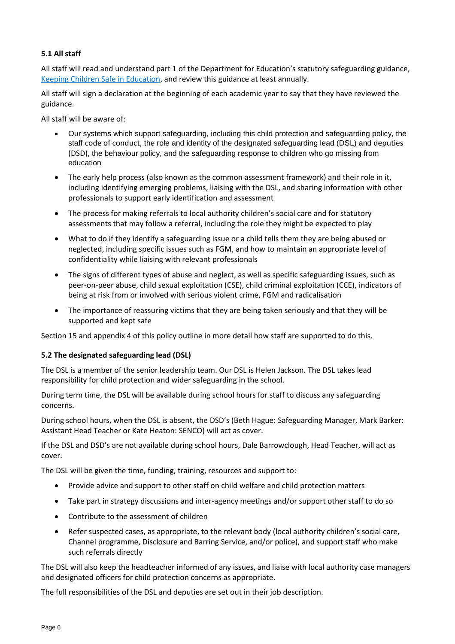## **5.1 All staff**

All staff will read and understand part 1 of the Department for Education's statutory safeguarding guidance, [Keeping Children Safe in Education,](https://www.gov.uk/government/publications/keeping-children-safe-in-education--2) and review this guidance at least annually.

All staff will sign a declaration at the beginning of each academic year to say that they have reviewed the guidance.

All staff will be aware of:

- Our systems which support safeguarding, including this child protection and safeguarding policy, the staff code of conduct, the role and identity of the designated safeguarding lead (DSL) and deputies (DSD), the behaviour policy, and the safeguarding response to children who go missing from education
- The early help process (also known as the common assessment framework) and their role in it, including identifying emerging problems, liaising with the DSL, and sharing information with other professionals to support early identification and assessment
- The process for making referrals to local authority children's social care and for statutory assessments that may follow a referral, including the role they might be expected to play
- What to do if they identify a safeguarding issue or a child tells them they are being abused or neglected, including specific issues such as FGM, and how to maintain an appropriate level of confidentiality while liaising with relevant professionals
- The signs of different types of abuse and neglect, as well as specific safeguarding issues, such as peer-on-peer abuse, child sexual exploitation (CSE), child criminal exploitation (CCE), indicators of being at risk from or involved with serious violent crime, FGM and radicalisation
- The importance of reassuring victims that they are being taken seriously and that they will be supported and kept safe

Section 15 and appendix 4 of this policy outline in more detail how staff are supported to do this.

## **5.2 The designated safeguarding lead (DSL)**

The DSL is a member of the senior leadership team. Our DSL is Helen Jackson. The DSL takes lead responsibility for child protection and wider safeguarding in the school.

During term time, the DSL will be available during school hours for staff to discuss any safeguarding concerns.

During school hours, when the DSL is absent, the DSD's (Beth Hague: Safeguarding Manager, Mark Barker: Assistant Head Teacher or Kate Heaton: SENCO) will act as cover.

If the DSL and DSD's are not available during school hours, Dale Barrowclough, Head Teacher, will act as cover.

The DSL will be given the time, funding, training, resources and support to:

- Provide advice and support to other staff on child welfare and child protection matters
- Take part in strategy discussions and inter-agency meetings and/or support other staff to do so
- Contribute to the assessment of children
- Refer suspected cases, as appropriate, to the relevant body (local authority children's social care, Channel programme, Disclosure and Barring Service, and/or police), and support staff who make such referrals directly

The DSL will also keep the headteacher informed of any issues, and liaise with local authority case managers and designated officers for child protection concerns as appropriate.

The full responsibilities of the DSL and deputies are set out in their job description.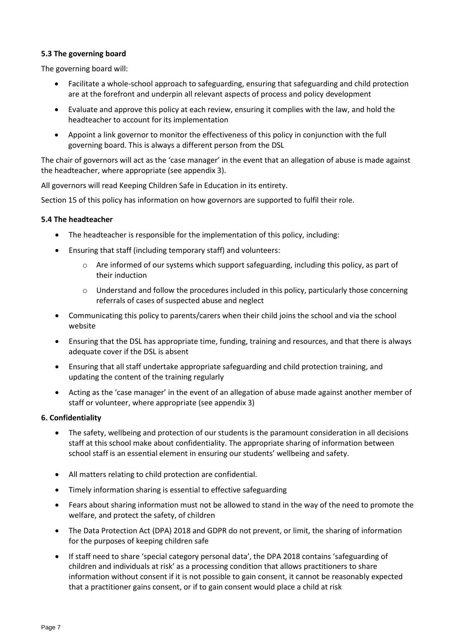## **5.3 The governing board**

The governing board will:

- Facilitate a whole-school approach to safeguarding, ensuring that safeguarding and child protection are at the forefront and underpin all relevant aspects of process and policy development
- Evaluate and approve this policy at each review, ensuring it complies with the law, and hold the headteacher to account for its implementation
- Appoint a link governor to monitor the effectiveness of this policy in conjunction with the full governing board. This is always a different person from the DSL

The chair of governors will act as the 'case manager' in the event that an allegation of abuse is made against the headteacher, where appropriate (see appendix 3).

All governors will read Keeping Children Safe in Education in its entirety.

Section 15 of this policy has information on how governors are supported to fulfil their role.

## **5.4 The headteacher**

- The headteacher is responsible for the implementation of this policy, including:
- Ensuring that staff (including temporary staff) and volunteers:
	- o Are informed of our systems which support safeguarding, including this policy, as part of their induction
	- o Understand and follow the procedures included in this policy, particularly those concerning referrals of cases of suspected abuse and neglect
- Communicating this policy to parents/carers when their child joins the school and via the school website
- Ensuring that the DSL has appropriate time, funding, training and resources, and that there is always adequate cover if the DSL is absent
- Ensuring that all staff undertake appropriate safeguarding and child protection training, and updating the content of the training regularly
- Acting as the 'case manager' in the event of an allegation of abuse made against another member of staff or volunteer, where appropriate (see appendix 3)

#### <span id="page-6-0"></span>**6. Confidentiality**

- The safety, wellbeing and protection of our students is the paramount consideration in all decisions staff at this school make about confidentiality. The appropriate sharing of information between school staff is an essential element in ensuring our students' wellbeing and safety.
- All matters relating to child protection are confidential.
- Timely information sharing is essential to effective safeguarding
- Fears about sharing information must not be allowed to stand in the way of the need to promote the welfare, and protect the safety, of children
- The Data Protection Act (DPA) 2018 and GDPR do not prevent, or limit, the sharing of information for the purposes of keeping children safe
- If staff need to share 'special category personal data', the DPA 2018 contains 'safeguarding of children and individuals at risk' as a processing condition that allows practitioners to share information without consent if it is not possible to gain consent, it cannot be reasonably expected that a practitioner gains consent, or if to gain consent would place a child at risk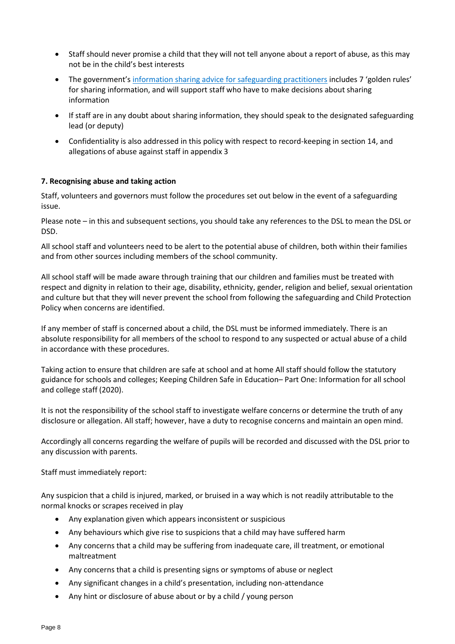- Staff should never promise a child that they will not tell anyone about a report of abuse, as this may not be in the child's best interests
- The government's [information sharing advice for safeguarding practitioners](https://www.gov.uk/government/publications/safeguarding-practitioners-information-sharing-advice) includes 7 'golden rules' for sharing information, and will support staff who have to make decisions about sharing information
- If staff are in any doubt about sharing information, they should speak to the designated safeguarding lead (or deputy)
- Confidentiality is also addressed in this policy with respect to record-keeping in section 14, and allegations of abuse against staff in appendix 3

## <span id="page-7-0"></span>**7. Recognising abuse and taking action**

Staff, volunteers and governors must follow the procedures set out below in the event of a safeguarding issue.

Please note – in this and subsequent sections, you should take any references to the DSL to mean the DSL or DSD.

All school staff and volunteers need to be alert to the potential abuse of children, both within their families and from other sources including members of the school community.

All school staff will be made aware through training that our children and families must be treated with respect and dignity in relation to their age, disability, ethnicity, gender, religion and belief, sexual orientation and culture but that they will never prevent the school from following the safeguarding and Child Protection Policy when concerns are identified.

If any member of staff is concerned about a child, the DSL must be informed immediately. There is an absolute responsibility for all members of the school to respond to any suspected or actual abuse of a child in accordance with these procedures.

Taking action to ensure that children are safe at school and at home All staff should follow the statutory guidance for schools and colleges; Keeping Children Safe in Education– Part One: Information for all school and college staff (2020).

It is not the responsibility of the school staff to investigate welfare concerns or determine the truth of any disclosure or allegation. All staff; however, have a duty to recognise concerns and maintain an open mind.

Accordingly all concerns regarding the welfare of pupils will be recorded and discussed with the DSL prior to any discussion with parents.

Staff must immediately report:

Any suspicion that a child is injured, marked, or bruised in a way which is not readily attributable to the normal knocks or scrapes received in play

- Any explanation given which appears inconsistent or suspicious
- Any behaviours which give rise to suspicions that a child may have suffered harm
- Any concerns that a child may be suffering from inadequate care, ill treatment, or emotional maltreatment
- Any concerns that a child is presenting signs or symptoms of abuse or neglect
- Any significant changes in a child's presentation, including non-attendance
- Any hint or disclosure of abuse about or by a child / young person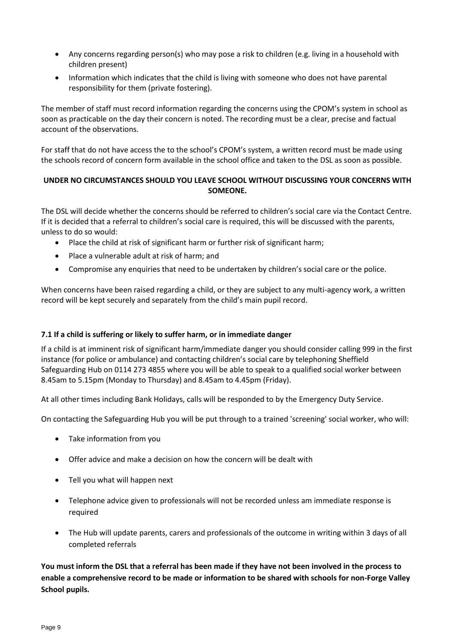- Any concerns regarding person(s) who may pose a risk to children (e.g. living in a household with children present)
- Information which indicates that the child is living with someone who does not have parental responsibility for them (private fostering).

The member of staff must record information regarding the concerns using the CPOM's system in school as soon as practicable on the day their concern is noted. The recording must be a clear, precise and factual account of the observations.

For staff that do not have access the to the school's CPOM's system, a written record must be made using the schools record of concern form available in the school office and taken to the DSL as soon as possible.

## **UNDER NO CIRCUMSTANCES SHOULD YOU LEAVE SCHOOL WITHOUT DISCUSSING YOUR CONCERNS WITH SOMEONE.**

The DSL will decide whether the concerns should be referred to children's social care via the Contact Centre. If it is decided that a referral to children's social care is required, this will be discussed with the parents, unless to do so would:

- Place the child at risk of significant harm or further risk of significant harm;
- Place a vulnerable adult at risk of harm; and
- Compromise any enquiries that need to be undertaken by children's social care or the police.

When concerns have been raised regarding a child, or they are subject to any multi-agency work, a written record will be kept securely and separately from the child's main pupil record.

## **7.1 If a child is suffering or likely to suffer harm, or in immediate danger**

If a child is at imminent risk of significant harm/immediate danger you should consider calling 999 in the first instance (for police or ambulance) and contacting children's social care by telephoning Sheffield Safeguarding Hub on 0114 273 4855 where you will be able to speak to a qualified social worker between 8.45am to 5.15pm (Monday to Thursday) and 8.45am to 4.45pm (Friday).

At all other times including Bank Holidays, calls will be responded to by the Emergency Duty Service.

On contacting the Safeguarding Hub you will be put through to a trained 'screening' social worker, who will:

- Take information from you
- Offer advice and make a decision on how the concern will be dealt with
- Tell you what will happen next
- Telephone advice given to professionals will not be recorded unless am immediate response is required
- The Hub will update parents, carers and professionals of the outcome in writing within 3 days of all completed referrals

**You must inform the DSL that a referral has been made if they have not been involved in the process to enable a comprehensive record to be made or information to be shared with schools for non-Forge Valley School pupils.**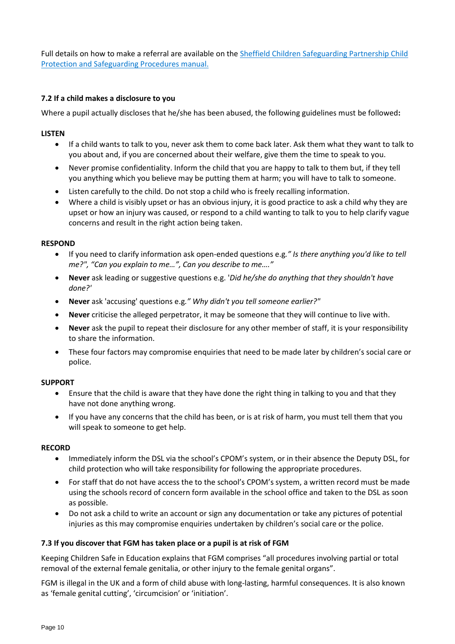Full details on how to make a referral are available on th[e Sheffield Children Safeguarding Partnership Child](https://sheffieldscb.proceduresonline.com/p_making_refer.html)  [Protection and Safeguarding Procedures manual.](https://sheffieldscb.proceduresonline.com/p_making_refer.html)

## **7.2 If a child makes a disclosure to you**

Where a pupil actually discloses that he/she has been abused, the following guidelines must be followed**:** 

#### **LISTEN**

- If a child wants to talk to you, never ask them to come back later. Ask them what they want to talk to you about and, if you are concerned about their welfare, give them the time to speak to you.
- Never promise confidentiality. Inform the child that you are happy to talk to them but, if they tell you anything which you believe may be putting them at harm; you will have to talk to someone.
- Listen carefully to the child. Do not stop a child who is freely recalling information.
- Where a child is visibly upset or has an obvious injury, it is good practice to ask a child why they are upset or how an injury was caused, or respond to a child wanting to talk to you to help clarify vague concerns and result in the right action being taken.

#### **RESPOND**

- If you need to clarify information ask open-ended questions e.g*." Is there anything you'd like to tell me?", "Can you explain to me…", Can you describe to me…."*
- **Never** ask leading or suggestive questions e.g. '*Did he/she do anything that they shouldn't have done?'*
- **Never** ask 'accusing' questions e.g*." Why didn't you tell someone earlier?"*
- **Never** criticise the alleged perpetrator, it may be someone that they will continue to live with.
- **Never** ask the pupil to repeat their disclosure for any other member of staff, it is your responsibility to share the information.
- These four factors may compromise enquiries that need to be made later by children's social care or police.

#### **SUPPORT**

- Ensure that the child is aware that they have done the right thing in talking to you and that they have not done anything wrong.
- If you have any concerns that the child has been, or is at risk of harm, you must tell them that you will speak to someone to get help.

#### **RECORD**

- Immediately inform the DSL via the school's CPOM's system, or in their absence the Deputy DSL, for child protection who will take responsibility for following the appropriate procedures.
- For staff that do not have access the to the school's CPOM's system, a written record must be made using the schools record of concern form available in the school office and taken to the DSL as soon as possible.
- Do not ask a child to write an account or sign any documentation or take any pictures of potential injuries as this may compromise enquiries undertaken by children's social care or the police.

#### **7.3 If you discover that FGM has taken place or a pupil is at risk of FGM**

Keeping Children Safe in Education explains that FGM comprises "all procedures involving partial or total removal of the external female genitalia, or other injury to the female genital organs".

FGM is illegal in the UK and a form of child abuse with long-lasting, harmful consequences. It is also known as 'female genital cutting', 'circumcision' or 'initiation'.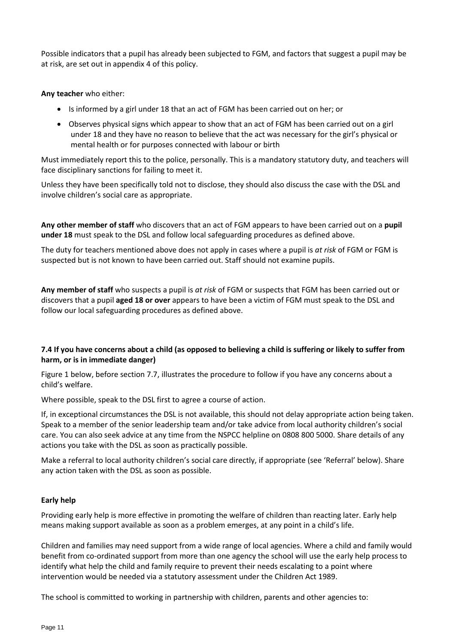Possible indicators that a pupil has already been subjected to FGM, and factors that suggest a pupil may be at risk, are set out in appendix 4 of this policy.

#### **Any teacher** who either:

- Is informed by a girl under 18 that an act of FGM has been carried out on her; or
- Observes physical signs which appear to show that an act of FGM has been carried out on a girl under 18 and they have no reason to believe that the act was necessary for the girl's physical or mental health or for purposes connected with labour or birth

Must immediately report this to the police, personally. This is a mandatory statutory duty, and teachers will face disciplinary sanctions for failing to meet it.

Unless they have been specifically told not to disclose, they should also discuss the case with the DSL and involve children's social care as appropriate.

**Any other member of staff** who discovers that an act of FGM appears to have been carried out on a **pupil under 18** must speak to the DSL and follow local safeguarding procedures as defined above.

The duty for teachers mentioned above does not apply in cases where a pupil is *at risk* of FGM or FGM is suspected but is not known to have been carried out. Staff should not examine pupils.

**Any member of staff** who suspects a pupil is *at risk* of FGM or suspects that FGM has been carried out or discovers that a pupil **aged 18 or over** appears to have been a victim of FGM must speak to the DSL and follow our local safeguarding procedures as defined above.

## **7.4 If you have concerns about a child (as opposed to believing a child is suffering or likely to suffer from harm, or is in immediate danger)**

Figure 1 below, before section 7.7, illustrates the procedure to follow if you have any concerns about a child's welfare.

Where possible, speak to the DSL first to agree a course of action.

If, in exceptional circumstances the DSL is not available, this should not delay appropriate action being taken. Speak to a member of the senior leadership team and/or take advice from local authority children's social care. You can also seek advice at any time from the NSPCC helpline on 0808 800 5000. Share details of any actions you take with the DSL as soon as practically possible.

Make a referral to local authority children's social care directly, if appropriate (see 'Referral' below). Share any action taken with the DSL as soon as possible.

#### **Early help**

Providing early help is more effective in promoting the welfare of children than reacting later. Early help means making support available as soon as a problem emerges, at any point in a child's life.

Children and families may need support from a wide range of local agencies. Where a child and family would benefit from co-ordinated support from more than one agency the school will use the early help process to identify what help the child and family require to prevent their needs escalating to a point where intervention would be needed via a statutory assessment under the Children Act 1989.

The school is committed to working in partnership with children, parents and other agencies to: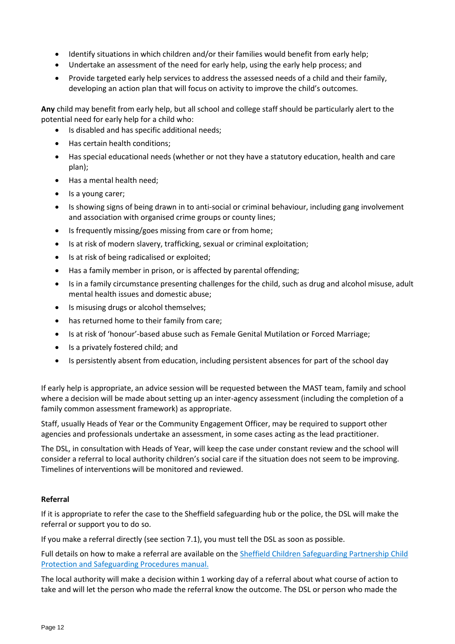- Identify situations in which children and/or their families would benefit from early help;
- Undertake an assessment of the need for early help, using the early help process; and
- Provide targeted early help services to address the assessed needs of a child and their family, developing an action plan that will focus on activity to improve the child's outcomes.

**Any** child may benefit from early help, but all school and college staff should be particularly alert to the potential need for early help for a child who:

- Is disabled and has specific additional needs;
- Has certain health conditions;
- Has special educational needs (whether or not they have a statutory education, health and care plan);
- Has a mental health need;
- Is a young carer;
- Is showing signs of being drawn in to anti-social or criminal behaviour, including gang involvement and association with organised crime groups or county lines;
- Is frequently missing/goes missing from care or from home;
- Is at risk of modern slavery, trafficking, sexual or criminal exploitation;
- Is at risk of being radicalised or exploited;
- Has a family member in prison, or is affected by parental offending;
- Is in a family circumstance presenting challenges for the child, such as drug and alcohol misuse, adult mental health issues and domestic abuse;
- Is misusing drugs or alcohol themselves;
- has returned home to their family from care;
- Is at risk of 'honour'-based abuse such as Female Genital Mutilation or Forced Marriage;
- Is a privately fostered child; and
- Is persistently absent from education, including persistent absences for part of the school day

If early help is appropriate, an advice session will be requested between the MAST team, family and school where a decision will be made about setting up an inter-agency assessment (including the completion of a family common assessment framework) as appropriate.

Staff, usually Heads of Year or the Community Engagement Officer, may be required to support other agencies and professionals undertake an assessment, in some cases acting as the lead practitioner.

The DSL, in consultation with Heads of Year, will keep the case under constant review and the school will consider a referral to local authority children's social care if the situation does not seem to be improving. Timelines of interventions will be monitored and reviewed.

## **Referral**

If it is appropriate to refer the case to the Sheffield safeguarding hub or the police, the DSL will make the referral or support you to do so.

If you make a referral directly (see section 7.1), you must tell the DSL as soon as possible.

Full details on how to make a referral are available on the Sheffield Children Safeguarding Partnership Child [Protection and Safeguarding Procedures manual.](https://sheffieldscb.proceduresonline.com/p_making_refer.html?zoom_highlight=referral)

The local authority will make a decision within 1 working day of a referral about what course of action to take and will let the person who made the referral know the outcome. The DSL or person who made the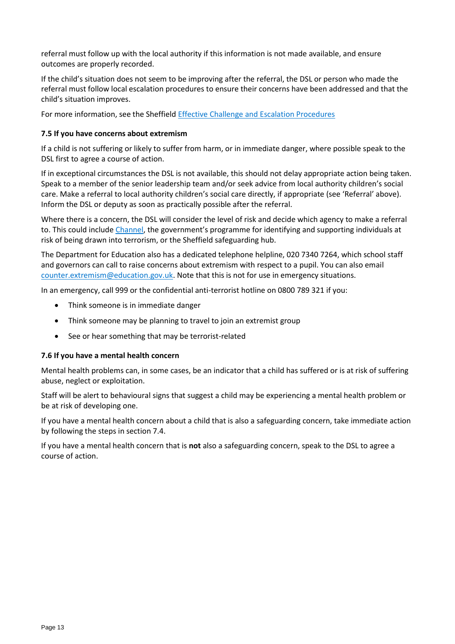referral must follow up with the local authority if this information is not made available, and ensure outcomes are properly recorded.

If the child's situation does not seem to be improving after the referral, the DSL or person who made the referral must follow local escalation procedures to ensure their concerns have been addressed and that the child's situation improves.

For more information, see the Sheffiel[d Effective Challenge and Escalation Procedures](https://sheffieldscb.proceduresonline.com/p_effect_challenge_esc.html?zoom_highlight=escalation)

## **7.5 If you have concerns about extremism**

If a child is not suffering or likely to suffer from harm, or in immediate danger, where possible speak to the DSL first to agree a course of action.

If in exceptional circumstances the DSL is not available, this should not delay appropriate action being taken. Speak to a member of the senior leadership team and/or seek advice from local authority children's social care. Make a referral to local authority children's social care directly, if appropriate (see 'Referral' above). Inform the DSL or deputy as soon as practically possible after the referral.

Where there is a concern, the DSL will consider the level of risk and decide which agency to make a referral to. This could include [Channel](https://www.gov.uk/government/publications/channel-guidance), the government's programme for identifying and supporting individuals at risk of being drawn into terrorism, or the Sheffield safeguarding hub.

The Department for Education also has a dedicated telephone helpline, 020 7340 7264, which school staff and governors can call to raise concerns about extremism with respect to a pupil. You can also email [counter.extremism@education.gov.uk.](mailto:counter.extremism@education.gov.uk) Note that this is not for use in emergency situations.

In an emergency, call 999 or the confidential anti-terrorist hotline on 0800 789 321 if you:

- Think someone is in immediate danger
- Think someone may be planning to travel to join an extremist group
- See or hear something that may be terrorist-related

#### **7.6 If you have a mental health concern**

Mental health problems can, in some cases, be an indicator that a child has suffered or is at risk of suffering abuse, neglect or exploitation.

Staff will be alert to behavioural signs that suggest a child may be experiencing a mental health problem or be at risk of developing one.

If you have a mental health concern about a child that is also a safeguarding concern, take immediate action by following the steps in section 7.4.

If you have a mental health concern that is **not** also a safeguarding concern, speak to the DSL to agree a course of action.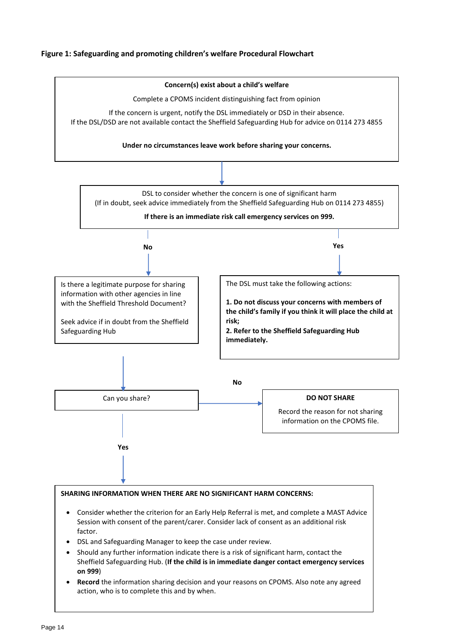## **Figure 1: Safeguarding and promoting children's welfare Procedural Flowchart**

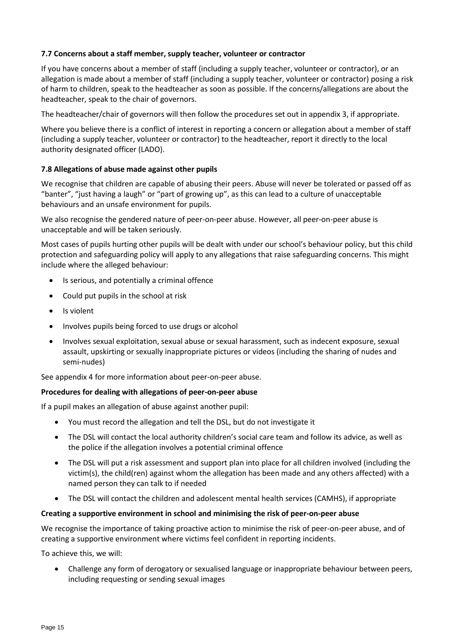## **7.7 Concerns about a staff member, supply teacher, volunteer or contractor**

If you have concerns about a member of staff (including a supply teacher, volunteer or contractor), or an allegation is made about a member of staff (including a supply teacher, volunteer or contractor) posing a risk of harm to children, speak to the headteacher as soon as possible. If the concerns/allegations are about the headteacher, speak to the chair of governors.

The headteacher/chair of governors will then follow the procedures set out in appendix 3, if appropriate.

Where you believe there is a conflict of interest in reporting a concern or allegation about a member of staff (including a supply teacher, volunteer or contractor) to the headteacher, report it directly to the local authority designated officer (LADO).

## **7.8 Allegations of abuse made against other pupils**

We recognise that children are capable of abusing their peers. Abuse will never be tolerated or passed off as "banter", "just having a laugh" or "part of growing up", as this can lead to a culture of unacceptable behaviours and an unsafe environment for pupils.

We also recognise the gendered nature of peer-on-peer abuse. However, all peer-on-peer abuse is unacceptable and will be taken seriously.

Most cases of pupils hurting other pupils will be dealt with under our school's behaviour policy, but this child protection and safeguarding policy will apply to any allegations that raise safeguarding concerns. This might include where the alleged behaviour:

- Is serious, and potentially a criminal offence
- Could put pupils in the school at risk
- Is violent
- Involves pupils being forced to use drugs or alcohol
- Involves sexual exploitation, sexual abuse or sexual harassment, such as indecent exposure, sexual assault, upskirting or sexually inappropriate pictures or videos (including the sharing of nudes and semi-nudes)

See appendix 4 for more information about peer-on-peer abuse.

#### **Procedures for dealing with allegations of peer-on-peer abuse**

If a pupil makes an allegation of abuse against another pupil:

- You must record the allegation and tell the DSL, but do not investigate it
- The DSL will contact the local authority children's social care team and follow its advice, as well as the police if the allegation involves a potential criminal offence
- The DSL will put a risk assessment and support plan into place for all children involved (including the victim(s), the child(ren) against whom the allegation has been made and any others affected) with a named person they can talk to if needed
- The DSL will contact the children and adolescent mental health services (CAMHS), if appropriate

#### **Creating a supportive environment in school and minimising the risk of peer-on-peer abuse**

We recognise the importance of taking proactive action to minimise the risk of peer-on-peer abuse, and of creating a supportive environment where victims feel confident in reporting incidents.

To achieve this, we will:

• Challenge any form of derogatory or sexualised language or inappropriate behaviour between peers, including requesting or sending sexual images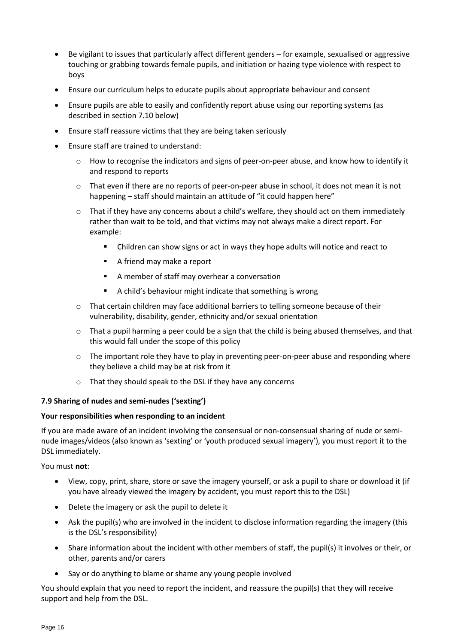- Be vigilant to issues that particularly affect different genders for example, sexualised or aggressive touching or grabbing towards female pupils, and initiation or hazing type violence with respect to boys
- Ensure our curriculum helps to educate pupils about appropriate behaviour and consent
- Ensure pupils are able to easily and confidently report abuse using our reporting systems (as described in section 7.10 below)
- Ensure staff reassure victims that they are being taken seriously
- Ensure staff are trained to understand:
	- o How to recognise the indicators and signs of peer-on-peer abuse, and know how to identify it and respond to reports
	- o That even if there are no reports of peer-on-peer abuse in school, it does not mean it is not happening – staff should maintain an attitude of "it could happen here"
	- $\circ$  That if they have any concerns about a child's welfare, they should act on them immediately rather than wait to be told, and that victims may not always make a direct report. For example:
		- Children can show signs or act in ways they hope adults will notice and react to
		- A friend may make a report
		- A member of staff may overhear a conversation
		- A child's behaviour might indicate that something is wrong
	- o That certain children may face additional barriers to telling someone because of their vulnerability, disability, gender, ethnicity and/or sexual orientation
	- $\circ$  That a pupil harming a peer could be a sign that the child is being abused themselves, and that this would fall under the scope of this policy
	- $\circ$  The important role they have to play in preventing peer-on-peer abuse and responding where they believe a child may be at risk from it
	- o That they should speak to the DSL if they have any concerns

#### **7.9 Sharing of nudes and semi-nudes ('sexting')**

#### **Your responsibilities when responding to an incident**

If you are made aware of an incident involving the consensual or non-consensual sharing of nude or seminude images/videos (also known as 'sexting' or 'youth produced sexual imagery'), you must report it to the DSL immediately.

You must **not**:

- View, copy, print, share, store or save the imagery yourself, or ask a pupil to share or download it (if you have already viewed the imagery by accident, you must report this to the DSL)
- Delete the imagery or ask the pupil to delete it
- Ask the pupil(s) who are involved in the incident to disclose information regarding the imagery (this is the DSL's responsibility)
- Share information about the incident with other members of staff, the pupil(s) it involves or their, or other, parents and/or carers
- Say or do anything to blame or shame any young people involved

You should explain that you need to report the incident, and reassure the pupil(s) that they will receive support and help from the DSL.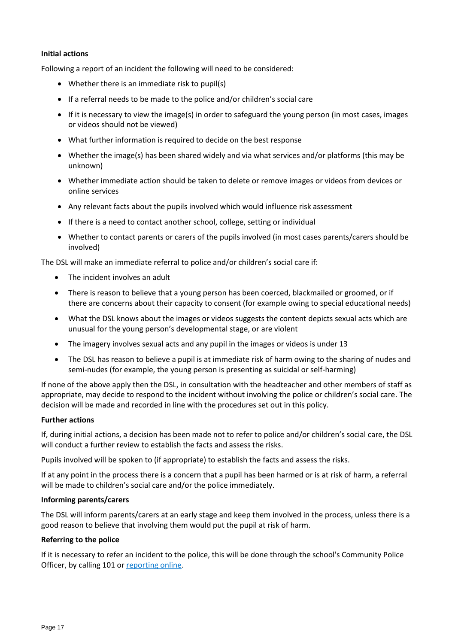#### **Initial actions**

Following a report of an incident the following will need to be considered:

- Whether there is an immediate risk to pupil(s)
- If a referral needs to be made to the police and/or children's social care
- If it is necessary to view the image(s) in order to safeguard the young person (in most cases, images or videos should not be viewed)
- What further information is required to decide on the best response
- Whether the image(s) has been shared widely and via what services and/or platforms (this may be unknown)
- Whether immediate action should be taken to delete or remove images or videos from devices or online services
- Any relevant facts about the pupils involved which would influence risk assessment
- If there is a need to contact another school, college, setting or individual
- Whether to contact parents or carers of the pupils involved (in most cases parents/carers should be involved)

The DSL will make an immediate referral to police and/or children's social care if:

- The incident involves an adult
- There is reason to believe that a young person has been coerced, blackmailed or groomed, or if there are concerns about their capacity to consent (for example owing to special educational needs)
- What the DSL knows about the images or videos suggests the content depicts sexual acts which are unusual for the young person's developmental stage, or are violent
- The imagery involves sexual acts and any pupil in the images or videos is under 13
- The DSL has reason to believe a pupil is at immediate risk of harm owing to the sharing of nudes and semi-nudes (for example, the young person is presenting as suicidal or self-harming)

If none of the above apply then the DSL, in consultation with the headteacher and other members of staff as appropriate, may decide to respond to the incident without involving the police or children's social care. The decision will be made and recorded in line with the procedures set out in this policy.

#### **Further actions**

If, during initial actions, a decision has been made not to refer to police and/or children's social care, the DSL will conduct a further review to establish the facts and assess the risks.

Pupils involved will be spoken to (if appropriate) to establish the facts and assess the risks.

If at any point in the process there is a concern that a pupil has been harmed or is at risk of harm, a referral will be made to children's social care and/or the police immediately.

#### **Informing parents/carers**

The DSL will inform parents/carers at an early stage and keep them involved in the process, unless there is a good reason to believe that involving them would put the pupil at risk of harm.

#### **Referring to the police**

If it is necessary to refer an incident to the police, this will be done through the school's Community Police Officer, by calling 101 or [reporting online.](https://www.southyorks.police.uk/contact-us/report-something/)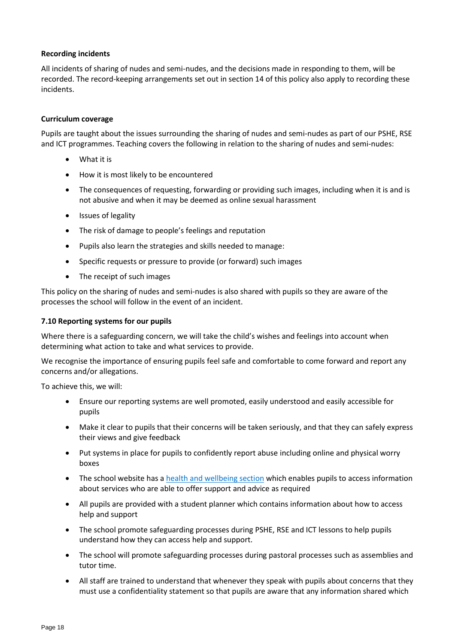## **Recording incidents**

All incidents of sharing of nudes and semi-nudes, and the decisions made in responding to them, will be recorded. The record-keeping arrangements set out in section 14 of this policy also apply to recording these incidents.

## **Curriculum coverage**

Pupils are taught about the issues surrounding the sharing of nudes and semi-nudes as part of our PSHE, RSE and ICT programmes. Teaching covers the following in relation to the sharing of nudes and semi-nudes:

- What it is
- How it is most likely to be encountered
- The consequences of requesting, forwarding or providing such images, including when it is and is not abusive and when it may be deemed as online sexual harassment
- Issues of legality
- The risk of damage to people's feelings and reputation
- Pupils also learn the strategies and skills needed to manage:
- Specific requests or pressure to provide (or forward) such images
- The receipt of such images

This policy on the sharing of nudes and semi-nudes is also shared with pupils so they are aware of the processes the school will follow in the event of an incident.

## **7.10 Reporting systems for our pupils**

Where there is a safeguarding concern, we will take the child's wishes and feelings into account when determining what action to take and what services to provide.

We recognise the importance of ensuring pupils feel safe and comfortable to come forward and report any concerns and/or allegations.

To achieve this, we will:

- Ensure our reporting systems are well promoted, easily understood and easily accessible for pupils
- Make it clear to pupils that their concerns will be taken seriously, and that they can safely express their views and give feedback
- Put systems in place for pupils to confidently report abuse including online and physical worry boxes
- The school website has a [health and wellbeing section](https://www.forgevalley.school/page/?title=Health+%26amp%3B+Wellbeing&pid=140) which enables pupils to access information about services who are able to offer support and advice as required
- All pupils are provided with a student planner which contains information about how to access help and support
- The school promote safeguarding processes during PSHE, RSE and ICT lessons to help pupils understand how they can access help and support.
- The school will promote safeguarding processes during pastoral processes such as assemblies and tutor time.
- All staff are trained to understand that whenever they speak with pupils about concerns that they must use a confidentiality statement so that pupils are aware that any information shared which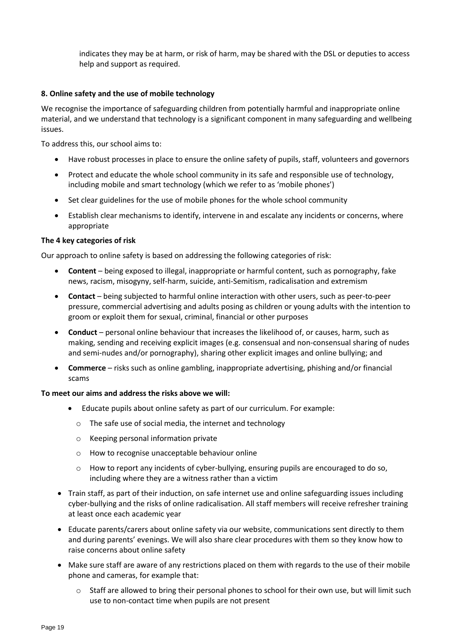indicates they may be at harm, or risk of harm, may be shared with the DSL or deputies to access help and support as required.

## <span id="page-18-0"></span>**8. Online safety and the use of mobile technology**

We recognise the importance of safeguarding children from potentially harmful and inappropriate online material, and we understand that technology is a significant component in many safeguarding and wellbeing issues.

To address this, our school aims to:

- Have robust processes in place to ensure the online safety of pupils, staff, volunteers and governors
- Protect and educate the whole school community in its safe and responsible use of technology, including mobile and smart technology (which we refer to as 'mobile phones')
- Set clear guidelines for the use of mobile phones for the whole school community
- Establish clear mechanisms to identify, intervene in and escalate any incidents or concerns, where appropriate

#### **The 4 key categories of risk**

Our approach to online safety is based on addressing the following categories of risk:

- **Content** being exposed to illegal, inappropriate or harmful content, such as pornography, fake news, racism, misogyny, self-harm, suicide, anti-Semitism, radicalisation and extremism
- **Contact** being subjected to harmful online interaction with other users, such as peer-to-peer pressure, commercial advertising and adults posing as children or young adults with the intention to groom or exploit them for sexual, criminal, financial or other purposes
- **Conduct** personal online behaviour that increases the likelihood of, or causes, harm, such as making, sending and receiving explicit images (e.g. consensual and non-consensual sharing of nudes and semi-nudes and/or pornography), sharing other explicit images and online bullying; and
- **Commerce** risks such as online gambling, inappropriate advertising, phishing and/or financial scams

#### **To meet our aims and address the risks above we will:**

- Educate pupils about online safety as part of our curriculum. For example:
	- o The safe use of social media, the internet and technology
	- o Keeping personal information private
	- o How to recognise unacceptable behaviour online
	- o How to report any incidents of cyber-bullying, ensuring pupils are encouraged to do so, including where they are a witness rather than a victim
- Train staff, as part of their induction, on safe internet use and online safeguarding issues including cyber-bullying and the risks of online radicalisation. All staff members will receive refresher training at least once each academic year
- Educate parents/carers about online safety via our website, communications sent directly to them and during parents' evenings. We will also share clear procedures with them so they know how to raise concerns about online safety
- Make sure staff are aware of any restrictions placed on them with regards to the use of their mobile phone and cameras, for example that:
	- $\circ$  Staff are allowed to bring their personal phones to school for their own use, but will limit such use to non-contact time when pupils are not present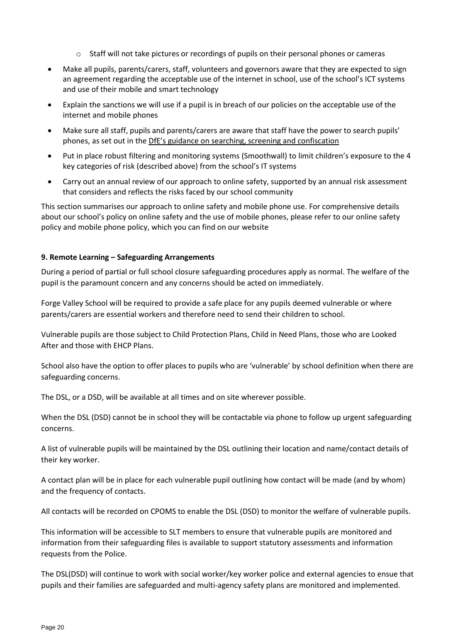- o Staff will not take pictures or recordings of pupils on their personal phones or cameras
- Make all pupils, parents/carers, staff, volunteers and governors aware that they are expected to sign an agreement regarding the acceptable use of the internet in school, use of the school's ICT systems and use of their mobile and smart technology
- Explain the sanctions we will use if a pupil is in breach of our policies on the acceptable use of the internet and mobile phones
- Make sure all staff, pupils and parents/carers are aware that staff have the power to search pupils' phones, as set out in the [DfE's guidance on searching, screening and confiscation](https://www.gov.uk/government/publications/searching-screening-and-confiscation)
- Put in place robust filtering and monitoring systems (Smoothwall) to limit children's exposure to the 4 key categories of risk (described above) from the school's IT systems
- Carry out an annual review of our approach to online safety, supported by an annual risk assessment that considers and reflects the risks faced by our school community

This section summarises our approach to online safety and mobile phone use. For comprehensive details about our school's policy on online safety and the use of mobile phones, please refer to our online safety policy and mobile phone policy, which you can find on our website

## <span id="page-19-0"></span>**9. Remote Learning – Safeguarding Arrangements**

During a period of partial or full school closure safeguarding procedures apply as normal. The welfare of the pupil is the paramount concern and any concerns should be acted on immediately.

Forge Valley School will be required to provide a safe place for any pupils deemed vulnerable or where parents/carers are essential workers and therefore need to send their children to school.

Vulnerable pupils are those subject to Child Protection Plans, Child in Need Plans, those who are Looked After and those with EHCP Plans.

School also have the option to offer places to pupils who are 'vulnerable' by school definition when there are safeguarding concerns.

The DSL, or a DSD, will be available at all times and on site wherever possible.

When the DSL (DSD) cannot be in school they will be contactable via phone to follow up urgent safeguarding concerns.

A list of vulnerable pupils will be maintained by the DSL outlining their location and name/contact details of their key worker.

A contact plan will be in place for each vulnerable pupil outlining how contact will be made (and by whom) and the frequency of contacts.

All contacts will be recorded on CPOMS to enable the DSL (DSD) to monitor the welfare of vulnerable pupils.

This information will be accessible to SLT members to ensure that vulnerable pupils are monitored and information from their safeguarding files is available to support statutory assessments and information requests from the Police.

The DSL(DSD) will continue to work with social worker/key worker police and external agencies to ensue that pupils and their families are safeguarded and multi-agency safety plans are monitored and implemented.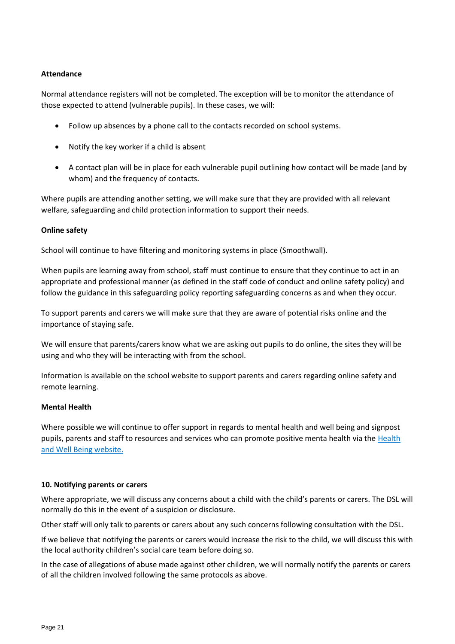## **Attendance**

Normal attendance registers will not be completed. The exception will be to monitor the attendance of those expected to attend (vulnerable pupils). In these cases, we will:

- Follow up absences by a phone call to the contacts recorded on school systems.
- Notify the key worker if a child is absent
- A contact plan will be in place for each vulnerable pupil outlining how contact will be made (and by whom) and the frequency of contacts.

Where pupils are attending another setting, we will make sure that they are provided with all relevant welfare, safeguarding and child protection information to support their needs.

#### **Online safety**

School will continue to have filtering and monitoring systems in place (Smoothwall).

When pupils are learning away from school, staff must continue to ensure that they continue to act in an appropriate and professional manner (as defined in the staff code of conduct and online safety policy) and follow the guidance in this safeguarding policy reporting safeguarding concerns as and when they occur.

To support parents and carers we will make sure that they are aware of potential risks online and the importance of staying safe.

We will ensure that parents/carers know what we are asking out pupils to do online, the sites they will be using and who they will be interacting with from the school.

Information is available on the school website to support parents and carers regarding online safety and remote learning.

#### **Mental Health**

Where possible we will continue to offer support in regards to mental health and well being and signpost pupils, parents and staff to resources and services who can promote positive menta health via the [Health](https://www.forgevalley.school/page/?title=Health+%26amp%3B+Wellbeing&pid=140)  [and Well Being website.](https://www.forgevalley.school/page/?title=Health+%26amp%3B+Wellbeing&pid=140)

#### <span id="page-20-0"></span>**10. Notifying parents or carers**

Where appropriate, we will discuss any concerns about a child with the child's parents or carers. The DSL will normally do this in the event of a suspicion or disclosure.

Other staff will only talk to parents or carers about any such concerns following consultation with the DSL.

If we believe that notifying the parents or carers would increase the risk to the child, we will discuss this with the local authority children's social care team before doing so.

In the case of allegations of abuse made against other children, we will normally notify the parents or carers of all the children involved following the same protocols as above.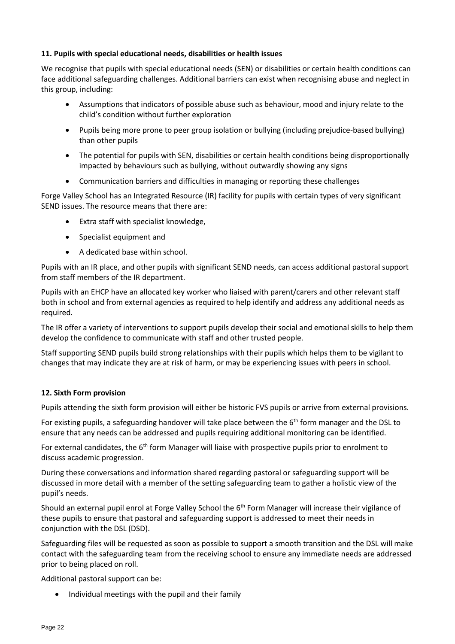## <span id="page-21-0"></span>**11. Pupils with special educational needs, disabilities or health issues**

We recognise that pupils with special educational needs (SEN) or disabilities or certain health conditions can face additional safeguarding challenges. Additional barriers can exist when recognising abuse and neglect in this group, including:

- Assumptions that indicators of possible abuse such as behaviour, mood and injury relate to the child's condition without further exploration
- Pupils being more prone to peer group isolation or bullying (including prejudice-based bullying) than other pupils
- The potential for pupils with SEN, disabilities or certain health conditions being disproportionally impacted by behaviours such as bullying, without outwardly showing any signs
- Communication barriers and difficulties in managing or reporting these challenges

Forge Valley School has an Integrated Resource (IR) facility for pupils with certain types of very significant SEND issues. The resource means that there are:

- Extra staff with specialist knowledge,
- Specialist equipment and
- A dedicated base within school.

Pupils with an IR place, and other pupils with significant SEND needs, can access additional pastoral support from staff members of the IR department.

Pupils with an EHCP have an allocated key worker who liaised with parent/carers and other relevant staff both in school and from external agencies as required to help identify and address any additional needs as required.

The IR offer a variety of interventions to support pupils develop their social and emotional skills to help them develop the confidence to communicate with staff and other trusted people.

Staff supporting SEND pupils build strong relationships with their pupils which helps them to be vigilant to changes that may indicate they are at risk of harm, or may be experiencing issues with peers in school.

## <span id="page-21-1"></span>**12. Sixth Form provision**

Pupils attending the sixth form provision will either be historic FVS pupils or arrive from external provisions.

For existing pupils, a safeguarding handover will take place between the  $6<sup>th</sup>$  form manager and the DSL to ensure that any needs can be addressed and pupils requiring additional monitoring can be identified.

For external candidates, the 6<sup>th</sup> form Manager will liaise with prospective pupils prior to enrolment to discuss academic progression.

During these conversations and information shared regarding pastoral or safeguarding support will be discussed in more detail with a member of the setting safeguarding team to gather a holistic view of the pupil's needs.

Should an external pupil enrol at Forge Valley School the 6<sup>th</sup> Form Manager will increase their vigilance of these pupils to ensure that pastoral and safeguarding support is addressed to meet their needs in conjunction with the DSL (DSD).

Safeguarding files will be requested as soon as possible to support a smooth transition and the DSL will make contact with the safeguarding team from the receiving school to ensure any immediate needs are addressed prior to being placed on roll.

Additional pastoral support can be:

• Individual meetings with the pupil and their family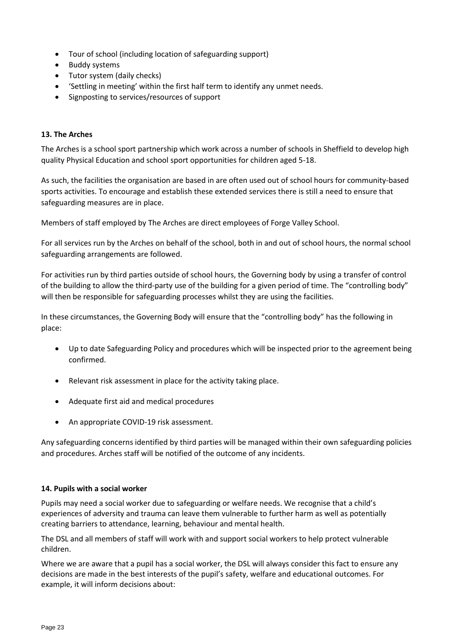- Tour of school (including location of safeguarding support)
- Buddy systems
- Tutor system (daily checks)
- 'Settling in meeting' within the first half term to identify any unmet needs.
- Signposting to services/resources of support

## <span id="page-22-0"></span>**13. The Arches**

The Arches is a school sport partnership which work across a number of schools in Sheffield to develop high quality Physical Education and school sport opportunities for children aged 5-18.

As such, the facilities the organisation are based in are often used out of school hours for community-based sports activities. To encourage and establish these extended services there is still a need to ensure that safeguarding measures are in place.

Members of staff employed by The Arches are direct employees of Forge Valley School.

For all services run by the Arches on behalf of the school, both in and out of school hours, the normal school safeguarding arrangements are followed.

For activities run by third parties outside of school hours, the Governing body by using a transfer of control of the building to allow the third-party use of the building for a given period of time. The "controlling body" will then be responsible for safeguarding processes whilst they are using the facilities.

In these circumstances, the Governing Body will ensure that the "controlling body" has the following in place:

- Up to date Safeguarding Policy and procedures which will be inspected prior to the agreement being confirmed.
- Relevant risk assessment in place for the activity taking place.
- Adequate first aid and medical procedures
- An appropriate COVID-19 risk assessment.

Any safeguarding concerns identified by third parties will be managed within their own safeguarding policies and procedures. Arches staff will be notified of the outcome of any incidents.

#### <span id="page-22-1"></span>**14. Pupils with a social worker**

Pupils may need a social worker due to safeguarding or welfare needs. We recognise that a child's experiences of adversity and trauma can leave them vulnerable to further harm as well as potentially creating barriers to attendance, learning, behaviour and mental health.

The DSL and all members of staff will work with and support social workers to help protect vulnerable children.

Where we are aware that a pupil has a social worker, the DSL will always consider this fact to ensure any decisions are made in the best interests of the pupil's safety, welfare and educational outcomes. For example, it will inform decisions about: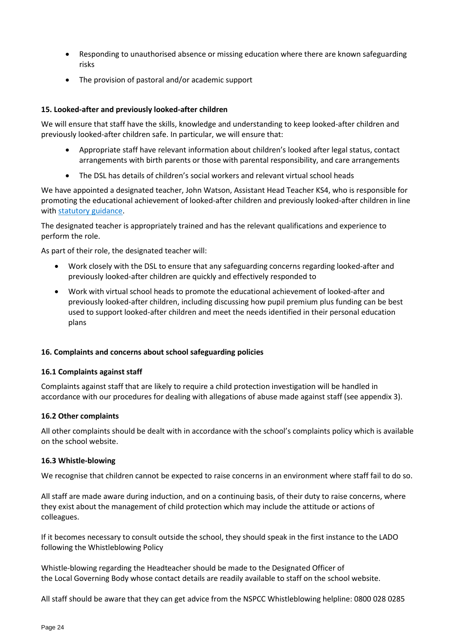- Responding to unauthorised absence or missing education where there are known safeguarding risks
- The provision of pastoral and/or academic support

## <span id="page-23-0"></span>**15. Looked-after and previously looked-after children**

We will ensure that staff have the skills, knowledge and understanding to keep looked-after children and previously looked-after children safe. In particular, we will ensure that:

- Appropriate staff have relevant information about children's looked after legal status, contact arrangements with birth parents or those with parental responsibility, and care arrangements
- The DSL has details of children's social workers and relevant virtual school heads

We have appointed a designated teacher, John Watson, Assistant Head Teacher KS4, who is responsible for promoting the educational achievement of looked-after children and previously looked-after children in line with [statutory guidance.](https://www.gov.uk/government/publications/designated-teacher-for-looked-after-children)

The designated teacher is appropriately trained and has the relevant qualifications and experience to perform the role.

As part of their role, the designated teacher will:

- Work closely with the DSL to ensure that any safeguarding concerns regarding looked-after and previously looked-after children are quickly and effectively responded to
- Work with virtual school heads to promote the educational achievement of looked-after and previously looked-after children, including discussing how pupil premium plus funding can be best used to support looked-after children and meet the needs identified in their personal education plans

#### <span id="page-23-1"></span>**16. Complaints and concerns about school safeguarding policies**

#### **16.1 Complaints against staff**

Complaints against staff that are likely to require a child protection investigation will be handled in accordance with our procedures for dealing with allegations of abuse made against staff (see appendix 3).

#### **16.2 Other complaints**

All other complaints should be dealt with in accordance with the school's complaints policy which is available on the school website.

#### **16.3 Whistle-blowing**

We recognise that children cannot be expected to raise concerns in an environment where staff fail to do so.

All staff are made aware during induction, and on a continuing basis, of their duty to raise concerns, where they exist about the management of child protection which may include the attitude or actions of colleagues.

If it becomes necessary to consult outside the school, they should speak in the first instance to the LADO following the Whistleblowing Policy

Whistle-blowing regarding the Headteacher should be made to the Designated Officer of the Local Governing Body whose contact details are readily available to staff on the school website.

All staff should be aware that they can get advice from the NSPCC Whistleblowing helpline: 0800 028 0285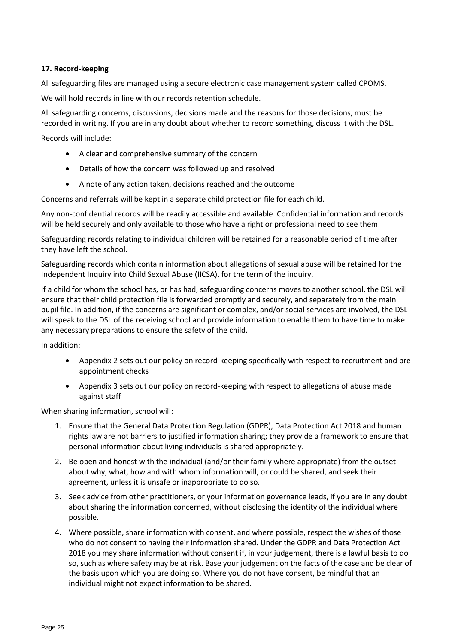## <span id="page-24-0"></span>**17. Record-keeping**

All safeguarding files are managed using a secure electronic case management system called CPOMS.

We will hold records in line with our records retention schedule.

All safeguarding concerns, discussions, decisions made and the reasons for those decisions, must be recorded in writing. If you are in any doubt about whether to record something, discuss it with the DSL.

Records will include:

- A clear and comprehensive summary of the concern
- Details of how the concern was followed up and resolved
- A note of any action taken, decisions reached and the outcome

Concerns and referrals will be kept in a separate child protection file for each child.

Any non-confidential records will be readily accessible and available. Confidential information and records will be held securely and only available to those who have a right or professional need to see them.

Safeguarding records relating to individual children will be retained for a reasonable period of time after they have left the school.

Safeguarding records which contain information about allegations of sexual abuse will be retained for the Independent Inquiry into Child Sexual Abuse (IICSA), for the term of the inquiry.

If a child for whom the school has, or has had, safeguarding concerns moves to another school, the DSL will ensure that their child protection file is forwarded promptly and securely, and separately from the main pupil file. In addition, if the concerns are significant or complex, and/or social services are involved, the DSL will speak to the DSL of the receiving school and provide information to enable them to have time to make any necessary preparations to ensure the safety of the child.

In addition:

- Appendix 2 sets out our policy on record-keeping specifically with respect to recruitment and preappointment checks
- Appendix 3 sets out our policy on record-keeping with respect to allegations of abuse made against staff

When sharing information, school will:

- 1. Ensure that the General Data Protection Regulation (GDPR), Data Protection Act 2018 and human rights law are not barriers to justified information sharing; they provide a framework to ensure that personal information about living individuals is shared appropriately.
- 2. Be open and honest with the individual (and/or their family where appropriate) from the outset about why, what, how and with whom information will, or could be shared, and seek their agreement, unless it is unsafe or inappropriate to do so.
- 3. Seek advice from other practitioners, or your information governance leads, if you are in any doubt about sharing the information concerned, without disclosing the identity of the individual where possible.
- 4. Where possible, share information with consent, and where possible, respect the wishes of those who do not consent to having their information shared. Under the GDPR and Data Protection Act 2018 you may share information without consent if, in your judgement, there is a lawful basis to do so, such as where safety may be at risk. Base your judgement on the facts of the case and be clear of the basis upon which you are doing so. Where you do not have consent, be mindful that an individual might not expect information to be shared.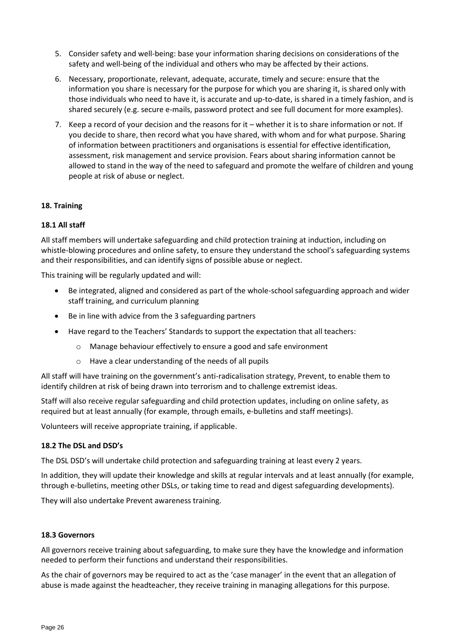- 5. Consider safety and well-being: base your information sharing decisions on considerations of the safety and well-being of the individual and others who may be affected by their actions.
- 6. Necessary, proportionate, relevant, adequate, accurate, timely and secure: ensure that the information you share is necessary for the purpose for which you are sharing it, is shared only with those individuals who need to have it, is accurate and up-to-date, is shared in a timely fashion, and is shared securely (e.g. secure e-mails, password protect and see full document for more examples).
- 7. Keep a record of your decision and the reasons for it whether it is to share information or not. If you decide to share, then record what you have shared, with whom and for what purpose. Sharing of information between practitioners and organisations is essential for effective identification, assessment, risk management and service provision. Fears about sharing information cannot be allowed to stand in the way of the need to safeguard and promote the welfare of children and young people at risk of abuse or neglect.

## <span id="page-25-0"></span>**18. Training**

## **18.1 All staff**

All staff members will undertake safeguarding and child protection training at induction, including on whistle-blowing procedures and online safety, to ensure they understand the school's safeguarding systems and their responsibilities, and can identify signs of possible abuse or neglect.

This training will be regularly updated and will:

- Be integrated, aligned and considered as part of the whole-school safeguarding approach and wider staff training, and curriculum planning
- Be in line with advice from the 3 safeguarding partners
- Have regard to the Teachers' Standards to support the expectation that all teachers:
	- o Manage behaviour effectively to ensure a good and safe environment
	- o Have a clear understanding of the needs of all pupils

All staff will have training on the government's anti-radicalisation strategy, Prevent, to enable them to identify children at risk of being drawn into terrorism and to challenge extremist ideas.

Staff will also receive regular safeguarding and child protection updates, including on online safety, as required but at least annually (for example, through emails, e-bulletins and staff meetings).

Volunteers will receive appropriate training, if applicable.

#### **18.2 The DSL and DSD's**

The DSL DSD's will undertake child protection and safeguarding training at least every 2 years.

In addition, they will update their knowledge and skills at regular intervals and at least annually (for example, through e-bulletins, meeting other DSLs, or taking time to read and digest safeguarding developments).

They will also undertake Prevent awareness training.

#### **18.3 Governors**

All governors receive training about safeguarding, to make sure they have the knowledge and information needed to perform their functions and understand their responsibilities.

As the chair of governors may be required to act as the 'case manager' in the event that an allegation of abuse is made against the headteacher, they receive training in managing allegations for this purpose.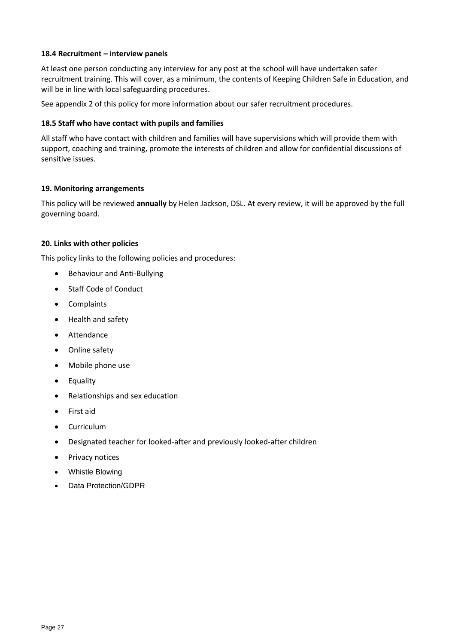## **18.4 Recruitment – interview panels**

At least one person conducting any interview for any post at the school will have undertaken safer recruitment training. This will cover, as a minimum, the contents of Keeping Children Safe in Education, and will be in line with local safeguarding procedures.

See appendix 2 of this policy for more information about our safer recruitment procedures.

## **18.5 Staff who have contact with pupils and families**

All staff who have contact with children and families will have supervisions which will provide them with support, coaching and training, promote the interests of children and allow for confidential discussions of sensitive issues.

## <span id="page-26-0"></span>**19. Monitoring arrangements**

This policy will be reviewed **annually** by Helen Jackson, DSL. At every review, it will be approved by the full governing board.

## <span id="page-26-1"></span>**20. Links with other policies**

This policy links to the following policies and procedures:

- Behaviour and Anti-Bullying
- Staff Code of Conduct
- Complaints
- Health and safety
- Attendance
- Online safety
- Mobile phone use
- Equality
- Relationships and sex education
- First aid
- Curriculum
- Designated teacher for looked-after and previously looked-after children
- Privacy notices
- Whistle Blowing
- Data Protection/GDPR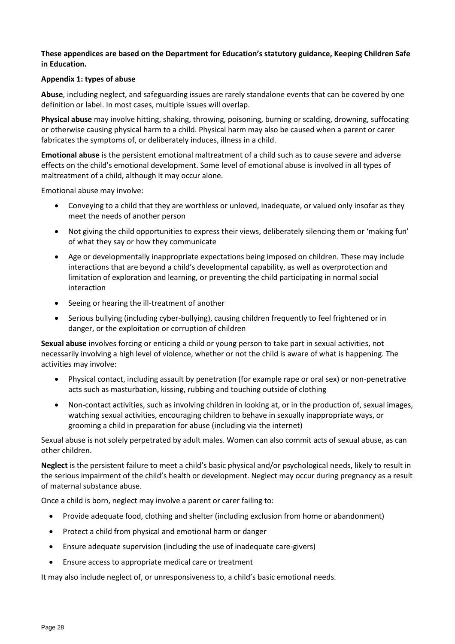## **These appendices are based on the Department for Education's statutory guidance, Keeping Children Safe in Education.**

## <span id="page-27-0"></span>**Appendix 1: types of abuse**

**Abuse**, including neglect, and safeguarding issues are rarely standalone events that can be covered by one definition or label. In most cases, multiple issues will overlap.

**Physical abuse** may involve hitting, shaking, throwing, poisoning, burning or scalding, drowning, suffocating or otherwise causing physical harm to a child. Physical harm may also be caused when a parent or carer fabricates the symptoms of, or deliberately induces, illness in a child.

**Emotional abuse** is the persistent emotional maltreatment of a child such as to cause severe and adverse effects on the child's emotional development. Some level of emotional abuse is involved in all types of maltreatment of a child, although it may occur alone.

Emotional abuse may involve:

- Conveying to a child that they are worthless or unloved, inadequate, or valued only insofar as they meet the needs of another person
- Not giving the child opportunities to express their views, deliberately silencing them or 'making fun' of what they say or how they communicate
- Age or developmentally inappropriate expectations being imposed on children. These may include interactions that are beyond a child's developmental capability, as well as overprotection and limitation of exploration and learning, or preventing the child participating in normal social interaction
- Seeing or hearing the ill-treatment of another
- Serious bullying (including cyber-bullying), causing children frequently to feel frightened or in danger, or the exploitation or corruption of children

**Sexual abuse** involves forcing or enticing a child or young person to take part in sexual activities, not necessarily involving a high level of violence, whether or not the child is aware of what is happening. The activities may involve:

- Physical contact, including assault by penetration (for example rape or oral sex) or non-penetrative acts such as masturbation, kissing, rubbing and touching outside of clothing
- Non-contact activities, such as involving children in looking at, or in the production of, sexual images, watching sexual activities, encouraging children to behave in sexually inappropriate ways, or grooming a child in preparation for abuse (including via the internet)

Sexual abuse is not solely perpetrated by adult males. Women can also commit acts of sexual abuse, as can other children.

**Neglect** is the persistent failure to meet a child's basic physical and/or psychological needs, likely to result in the serious impairment of the child's health or development. Neglect may occur during pregnancy as a result of maternal substance abuse.

Once a child is born, neglect may involve a parent or carer failing to:

- Provide adequate food, clothing and shelter (including exclusion from home or abandonment)
- Protect a child from physical and emotional harm or danger
- Ensure adequate supervision (including the use of inadequate care-givers)
- Ensure access to appropriate medical care or treatment

It may also include neglect of, or unresponsiveness to, a child's basic emotional needs.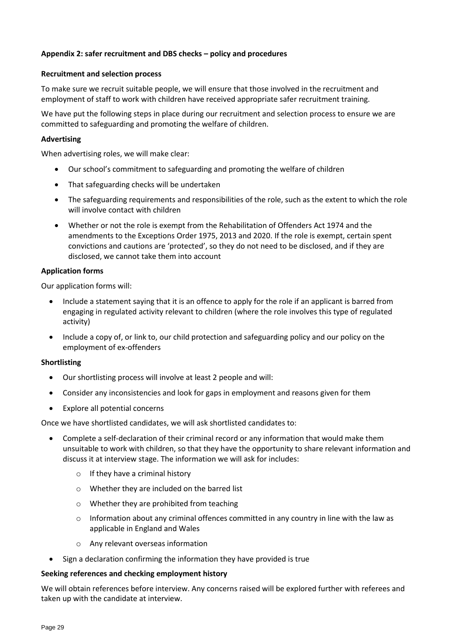## <span id="page-28-0"></span>**Appendix 2: safer recruitment and DBS checks – policy and procedures**

#### **Recruitment and selection process**

To make sure we recruit suitable people, we will ensure that those involved in the recruitment and employment of staff to work with children have received appropriate safer recruitment training.

We have put the following steps in place during our recruitment and selection process to ensure we are committed to safeguarding and promoting the welfare of children.

#### **Advertising**

When advertising roles, we will make clear:

- Our school's commitment to safeguarding and promoting the welfare of children
- That safeguarding checks will be undertaken
- The safeguarding requirements and responsibilities of the role, such as the extent to which the role will involve contact with children
- Whether or not the role is exempt from the Rehabilitation of Offenders Act 1974 and the amendments to the Exceptions Order 1975, 2013 and 2020. If the role is exempt, certain spent convictions and cautions are 'protected', so they do not need to be disclosed, and if they are disclosed, we cannot take them into account

#### **Application forms**

Our application forms will:

- Include a statement saying that it is an offence to apply for the role if an applicant is barred from engaging in regulated activity relevant to children (where the role involves this type of regulated activity)
- Include a copy of, or link to, our child protection and safeguarding policy and our policy on the employment of ex-offenders

#### **Shortlisting**

- Our shortlisting process will involve at least 2 people and will:
- Consider any inconsistencies and look for gaps in employment and reasons given for them
- Explore all potential concerns

Once we have shortlisted candidates, we will ask shortlisted candidates to:

- Complete a self-declaration of their criminal record or any information that would make them unsuitable to work with children, so that they have the opportunity to share relevant information and discuss it at interview stage. The information we will ask for includes:
	- $\circ$  If they have a criminal history
	- o Whether they are included on the barred list
	- o Whether they are prohibited from teaching
	- $\circ$  Information about any criminal offences committed in any country in line with the law as applicable in England and Wales
	- o Any relevant overseas information
- Sign a declaration confirming the information they have provided is true

#### **Seeking references and checking employment history**

We will obtain references before interview. Any concerns raised will be explored further with referees and taken up with the candidate at interview.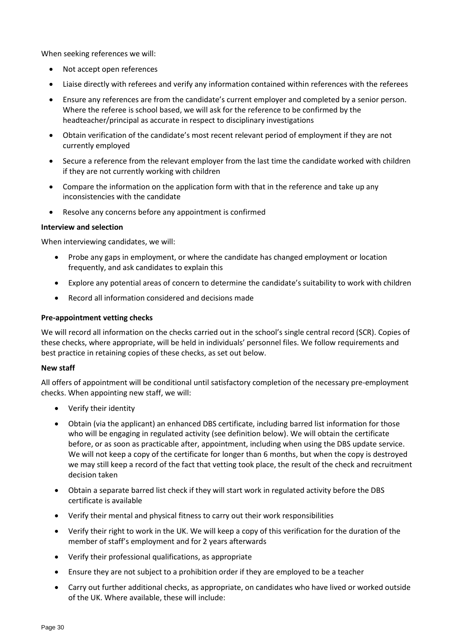When seeking references we will:

- Not accept open references
- Liaise directly with referees and verify any information contained within references with the referees
- Ensure any references are from the candidate's current employer and completed by a senior person. Where the referee is school based, we will ask for the reference to be confirmed by the headteacher/principal as accurate in respect to disciplinary investigations
- Obtain verification of the candidate's most recent relevant period of employment if they are not currently employed
- Secure a reference from the relevant employer from the last time the candidate worked with children if they are not currently working with children
- Compare the information on the application form with that in the reference and take up any inconsistencies with the candidate
- Resolve any concerns before any appointment is confirmed

#### **Interview and selection**

When interviewing candidates, we will:

- Probe any gaps in employment, or where the candidate has changed employment or location frequently, and ask candidates to explain this
- Explore any potential areas of concern to determine the candidate's suitability to work with children
- Record all information considered and decisions made

## **Pre-appointment vetting checks**

We will record all information on the checks carried out in the school's single central record (SCR). Copies of these checks, where appropriate, will be held in individuals' personnel files. We follow requirements and best practice in retaining copies of these checks, as set out below.

#### **New staff**

All offers of appointment will be conditional until satisfactory completion of the necessary pre-employment checks. When appointing new staff, we will:

- Verify their identity
- Obtain (via the applicant) an enhanced DBS certificate, including barred list information for those who will be engaging in regulated activity (see definition below). We will obtain the certificate before, or as soon as practicable after, appointment, including when using the DBS update service. We will not keep a copy of the certificate for longer than 6 months, but when the copy is destroyed we may still keep a record of the fact that vetting took place, the result of the check and recruitment decision taken
- Obtain a separate barred list check if they will start work in regulated activity before the DBS certificate is available
- Verify their mental and physical fitness to carry out their work responsibilities
- Verify their right to work in the UK. We will keep a copy of this verification for the duration of the member of staff's employment and for 2 years afterwards
- Verify their professional qualifications, as appropriate
- Ensure they are not subject to a prohibition order if they are employed to be a teacher
- Carry out further additional checks, as appropriate, on candidates who have lived or worked outside of the UK. Where available, these will include: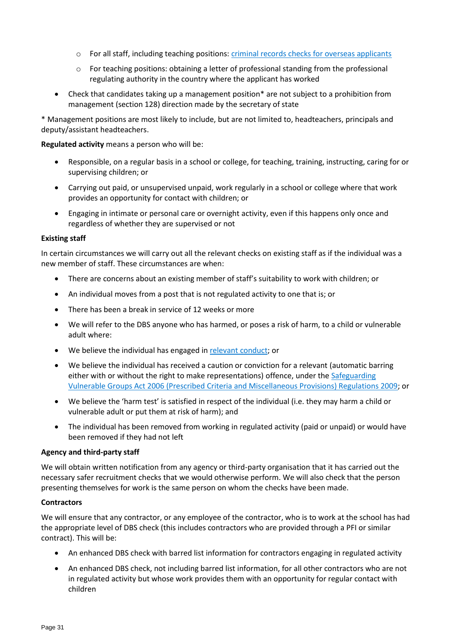- o For all staff, including teaching positions: [criminal records checks for overseas applicants](https://www.gov.uk/government/publications/criminal-records-checks-for-overseas-applicants)
- $\circ$  For teaching positions: obtaining a letter of professional standing from the professional regulating authority in the country where the applicant has worked
- Check that candidates taking up a management position\* are not subject to a prohibition from management (section 128) direction made by the secretary of state

\* Management positions are most likely to include, but are not limited to, headteachers, principals and deputy/assistant headteachers.

**Regulated activity** means a person who will be:

- Responsible, on a regular basis in a school or college, for teaching, training, instructing, caring for or supervising children; or
- Carrying out paid, or unsupervised unpaid, work regularly in a school or college where that work provides an opportunity for contact with children; or
- Engaging in intimate or personal care or overnight activity, even if this happens only once and regardless of whether they are supervised or not

#### **Existing staff**

In certain circumstances we will carry out all the relevant checks on existing staff as if the individual was a new member of staff. These circumstances are when:

- There are concerns about an existing member of staff's suitability to work with children; or
- An individual moves from a post that is not regulated activity to one that is; or
- There has been a break in service of 12 weeks or more
- We will refer to the DBS anyone who has harmed, or poses a risk of harm, to a child or vulnerable adult where:
- We believe the individual has engaged in [relevant conduct;](https://www.gov.uk/guidance/making-barring-referrals-to-the-dbs#relevant-conduct-in-relation-to-children) or
- We believe the individual has received a caution or conviction for a relevant (automatic barring either with or without the right to make representations) offence, under the [Safeguarding](http://www.legislation.gov.uk/uksi/2009/37/contents/made)  [Vulnerable Groups Act 2006 \(Prescribed Criteria and Miscellaneous Provisions\) Regulations 2009;](http://www.legislation.gov.uk/uksi/2009/37/contents/made) or
- We believe the 'harm test' is satisfied in respect of the individual (i.e. they may harm a child or vulnerable adult or put them at risk of harm); and
- The individual has been removed from working in regulated activity (paid or unpaid) or would have been removed if they had not left

#### **Agency and third-party staff**

We will obtain written notification from any agency or third-party organisation that it has carried out the necessary safer recruitment checks that we would otherwise perform. We will also check that the person presenting themselves for work is the same person on whom the checks have been made.

#### **Contractors**

We will ensure that any contractor, or any employee of the contractor, who is to work at the school has had the appropriate level of DBS check (this includes contractors who are provided through a PFI or similar contract). This will be:

- An enhanced DBS check with barred list information for contractors engaging in regulated activity
- An enhanced DBS check, not including barred list information, for all other contractors who are not in regulated activity but whose work provides them with an opportunity for regular contact with children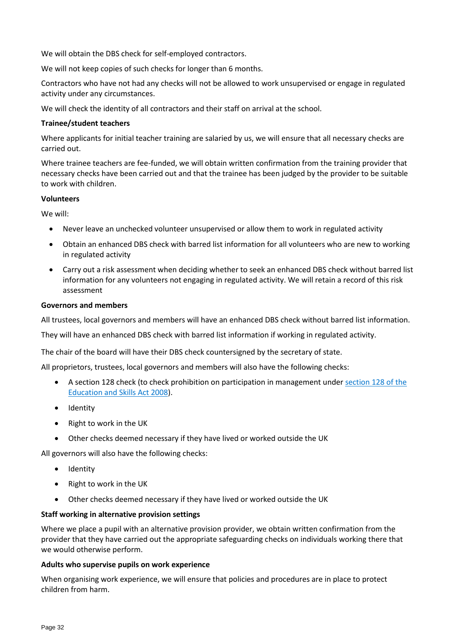We will obtain the DBS check for self-employed contractors.

We will not keep copies of such checks for longer than 6 months.

Contractors who have not had any checks will not be allowed to work unsupervised or engage in regulated activity under any circumstances.

We will check the identity of all contractors and their staff on arrival at the school.

## **Trainee/student teachers**

Where applicants for initial teacher training are salaried by us, we will ensure that all necessary checks are carried out.

Where trainee teachers are fee-funded, we will obtain written confirmation from the training provider that necessary checks have been carried out and that the trainee has been judged by the provider to be suitable to work with children.

#### **Volunteers**

We will:

- Never leave an unchecked volunteer unsupervised or allow them to work in regulated activity
- Obtain an enhanced DBS check with barred list information for all volunteers who are new to working in regulated activity
- Carry out a risk assessment when deciding whether to seek an enhanced DBS check without barred list information for any volunteers not engaging in regulated activity. We will retain a record of this risk assessment

#### **Governors and members**

All trustees, local governors and members will have an enhanced DBS check without barred list information.

They will have an enhanced DBS check with barred list information if working in regulated activity.

The chair of the board will have their DBS check countersigned by the secretary of state.

All proprietors, trustees, local governors and members will also have the following checks:

- A section 128 check (to check prohibition on participation in management under [section 128 of the](https://www.legislation.gov.uk/ukpga/2008/25/section/128)  [Education and Skills Act 2008\)](https://www.legislation.gov.uk/ukpga/2008/25/section/128).
- Identity
- Right to work in the UK
- Other checks deemed necessary if they have lived or worked outside the UK

All governors will also have the following checks:

- Identity
- Right to work in the UK
- Other checks deemed necessary if they have lived or worked outside the UK

#### **Staff working in alternative provision settings**

Where we place a pupil with an alternative provision provider, we obtain written confirmation from the provider that they have carried out the appropriate safeguarding checks on individuals working there that we would otherwise perform.

#### **Adults who supervise pupils on work experience**

When organising work experience, we will ensure that policies and procedures are in place to protect children from harm.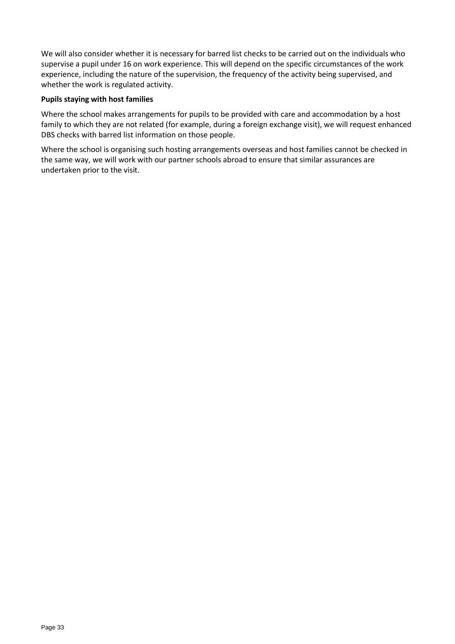We will also consider whether it is necessary for barred list checks to be carried out on the individuals who supervise a pupil under 16 on work experience. This will depend on the specific circumstances of the work experience, including the nature of the supervision, the frequency of the activity being supervised, and whether the work is regulated activity.

#### **Pupils staying with host families**

Where the school makes arrangements for pupils to be provided with care and accommodation by a host family to which they are not related (for example, during a foreign exchange visit), we will request enhanced DBS checks with barred list information on those people.

Where the school is organising such hosting arrangements overseas and host families cannot be checked in the same way, we will work with our partner schools abroad to ensure that similar assurances are undertaken prior to the visit.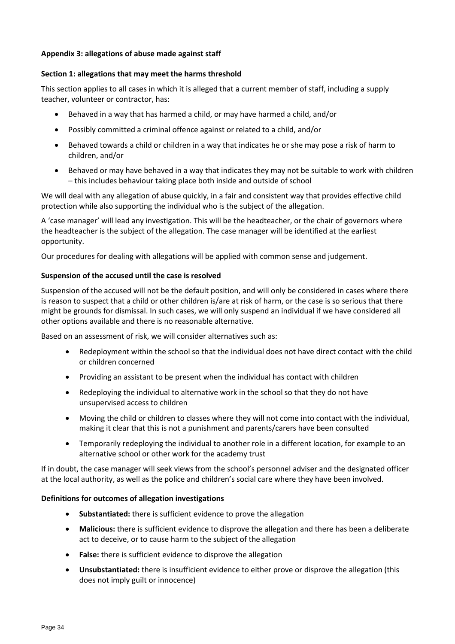## <span id="page-33-0"></span>**Appendix 3: allegations of abuse made against staff**

## **Section 1: allegations that may meet the harms threshold**

This section applies to all cases in which it is alleged that a current member of staff, including a supply teacher, volunteer or contractor, has:

- Behaved in a way that has harmed a child, or may have harmed a child, and/or
- Possibly committed a criminal offence against or related to a child, and/or
- Behaved towards a child or children in a way that indicates he or she may pose a risk of harm to children, and/or
- Behaved or may have behaved in a way that indicates they may not be suitable to work with children – this includes behaviour taking place both inside and outside of school

We will deal with any allegation of abuse quickly, in a fair and consistent way that provides effective child protection while also supporting the individual who is the subject of the allegation.

A 'case manager' will lead any investigation. This will be the headteacher, or the chair of governors where the headteacher is the subject of the allegation. The case manager will be identified at the earliest opportunity.

Our procedures for dealing with allegations will be applied with common sense and judgement.

## **Suspension of the accused until the case is resolved**

Suspension of the accused will not be the default position, and will only be considered in cases where there is reason to suspect that a child or other children is/are at risk of harm, or the case is so serious that there might be grounds for dismissal. In such cases, we will only suspend an individual if we have considered all other options available and there is no reasonable alternative.

Based on an assessment of risk, we will consider alternatives such as:

- Redeployment within the school so that the individual does not have direct contact with the child or children concerned
- Providing an assistant to be present when the individual has contact with children
- Redeploying the individual to alternative work in the school so that they do not have unsupervised access to children
- Moving the child or children to classes where they will not come into contact with the individual, making it clear that this is not a punishment and parents/carers have been consulted
- Temporarily redeploying the individual to another role in a different location, for example to an alternative school or other work for the academy trust

If in doubt, the case manager will seek views from the school's personnel adviser and the designated officer at the local authority, as well as the police and children's social care where they have been involved.

#### **Definitions for outcomes of allegation investigations**

- **Substantiated:** there is sufficient evidence to prove the allegation
- **Malicious:** there is sufficient evidence to disprove the allegation and there has been a deliberate act to deceive, or to cause harm to the subject of the allegation
- **False:** there is sufficient evidence to disprove the allegation
- **Unsubstantiated:** there is insufficient evidence to either prove or disprove the allegation (this does not imply guilt or innocence)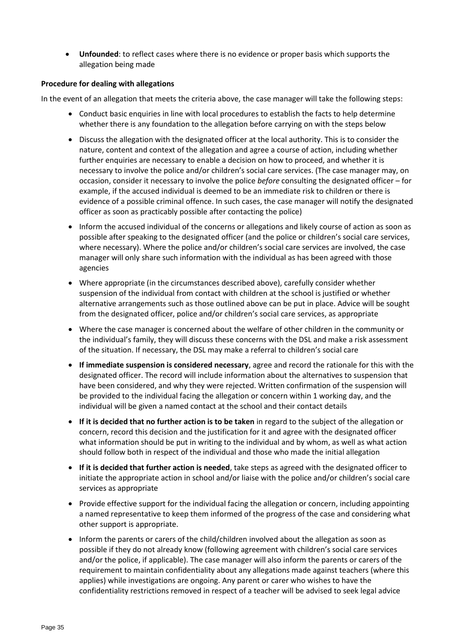• **Unfounded**: to reflect cases where there is no evidence or proper basis which supports the allegation being made

#### **Procedure for dealing with allegations**

In the event of an allegation that meets the criteria above, the case manager will take the following steps:

- Conduct basic enquiries in line with local procedures to establish the facts to help determine whether there is any foundation to the allegation before carrying on with the steps below
- Discuss the allegation with the designated officer at the local authority. This is to consider the nature, content and context of the allegation and agree a course of action, including whether further enquiries are necessary to enable a decision on how to proceed, and whether it is necessary to involve the police and/or children's social care services. (The case manager may, on occasion, consider it necessary to involve the police *before* consulting the designated officer – for example, if the accused individual is deemed to be an immediate risk to children or there is evidence of a possible criminal offence. In such cases, the case manager will notify the designated officer as soon as practicably possible after contacting the police)
- Inform the accused individual of the concerns or allegations and likely course of action as soon as possible after speaking to the designated officer (and the police or children's social care services, where necessary). Where the police and/or children's social care services are involved, the case manager will only share such information with the individual as has been agreed with those agencies
- Where appropriate (in the circumstances described above), carefully consider whether suspension of the individual from contact with children at the school is justified or whether alternative arrangements such as those outlined above can be put in place. Advice will be sought from the designated officer, police and/or children's social care services, as appropriate
- Where the case manager is concerned about the welfare of other children in the community or the individual's family, they will discuss these concerns with the DSL and make a risk assessment of the situation. If necessary, the DSL may make a referral to children's social care
- **If immediate suspension is considered necessary**, agree and record the rationale for this with the designated officer. The record will include information about the alternatives to suspension that have been considered, and why they were rejected. Written confirmation of the suspension will be provided to the individual facing the allegation or concern within 1 working day, and the individual will be given a named contact at the school and their contact details
- **If it is decided that no further action is to be taken** in regard to the subject of the allegation or concern, record this decision and the justification for it and agree with the designated officer what information should be put in writing to the individual and by whom, as well as what action should follow both in respect of the individual and those who made the initial allegation
- **If it is decided that further action is needed**, take steps as agreed with the designated officer to initiate the appropriate action in school and/or liaise with the police and/or children's social care services as appropriate
- Provide effective support for the individual facing the allegation or concern, including appointing a named representative to keep them informed of the progress of the case and considering what other support is appropriate.
- Inform the parents or carers of the child/children involved about the allegation as soon as possible if they do not already know (following agreement with children's social care services and/or the police, if applicable). The case manager will also inform the parents or carers of the requirement to maintain confidentiality about any allegations made against teachers (where this applies) while investigations are ongoing. Any parent or carer who wishes to have the confidentiality restrictions removed in respect of a teacher will be advised to seek legal advice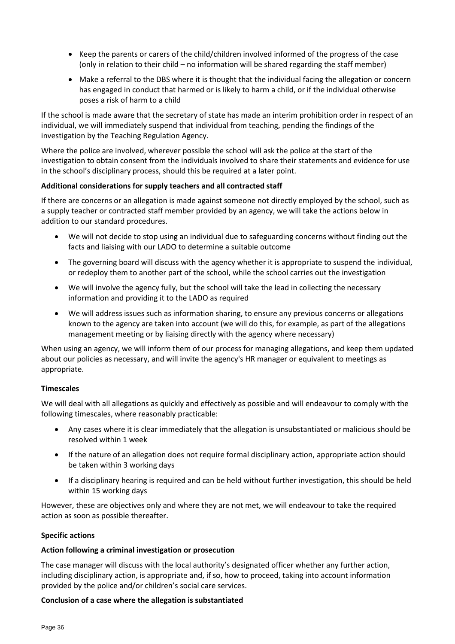- Keep the parents or carers of the child/children involved informed of the progress of the case (only in relation to their child – no information will be shared regarding the staff member)
- Make a referral to the DBS where it is thought that the individual facing the allegation or concern has engaged in conduct that harmed or is likely to harm a child, or if the individual otherwise poses a risk of harm to a child

If the school is made aware that the secretary of state has made an interim prohibition order in respect of an individual, we will immediately suspend that individual from teaching, pending the findings of the investigation by the Teaching Regulation Agency.

Where the police are involved, wherever possible the school will ask the police at the start of the investigation to obtain consent from the individuals involved to share their statements and evidence for use in the school's disciplinary process, should this be required at a later point.

## **Additional considerations for supply teachers and all contracted staff**

If there are concerns or an allegation is made against someone not directly employed by the school, such as a supply teacher or contracted staff member provided by an agency, we will take the actions below in addition to our standard procedures.

- We will not decide to stop using an individual due to safeguarding concerns without finding out the facts and liaising with our LADO to determine a suitable outcome
- The governing board will discuss with the agency whether it is appropriate to suspend the individual, or redeploy them to another part of the school, while the school carries out the investigation
- We will involve the agency fully, but the school will take the lead in collecting the necessary information and providing it to the LADO as required
- We will address issues such as information sharing, to ensure any previous concerns or allegations known to the agency are taken into account (we will do this, for example, as part of the allegations management meeting or by liaising directly with the agency where necessary)

When using an agency, we will inform them of our process for managing allegations, and keep them updated about our policies as necessary, and will invite the agency's HR manager or equivalent to meetings as appropriate.

#### **Timescales**

We will deal with all allegations as quickly and effectively as possible and will endeavour to comply with the following timescales, where reasonably practicable:

- Any cases where it is clear immediately that the allegation is unsubstantiated or malicious should be resolved within 1 week
- If the nature of an allegation does not require formal disciplinary action, appropriate action should be taken within 3 working days
- If a disciplinary hearing is required and can be held without further investigation, this should be held within 15 working days

However, these are objectives only and where they are not met, we will endeavour to take the required action as soon as possible thereafter.

## **Specific actions**

#### **Action following a criminal investigation or prosecution**

The case manager will discuss with the local authority's designated officer whether any further action, including disciplinary action, is appropriate and, if so, how to proceed, taking into account information provided by the police and/or children's social care services.

## **Conclusion of a case where the allegation is substantiated**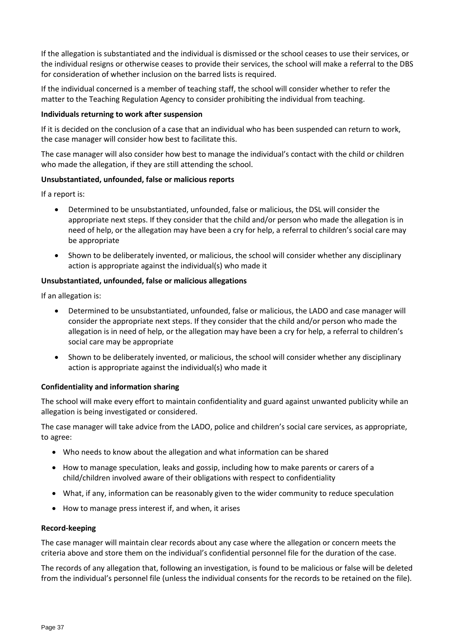If the allegation is substantiated and the individual is dismissed or the school ceases to use their services, or the individual resigns or otherwise ceases to provide their services, the school will make a referral to the DBS for consideration of whether inclusion on the barred lists is required.

If the individual concerned is a member of teaching staff, the school will consider whether to refer the matter to the Teaching Regulation Agency to consider prohibiting the individual from teaching.

#### **Individuals returning to work after suspension**

If it is decided on the conclusion of a case that an individual who has been suspended can return to work, the case manager will consider how best to facilitate this.

The case manager will also consider how best to manage the individual's contact with the child or children who made the allegation, if they are still attending the school.

## **Unsubstantiated, unfounded, false or malicious reports**

If a report is:

- Determined to be unsubstantiated, unfounded, false or malicious, the DSL will consider the appropriate next steps. If they consider that the child and/or person who made the allegation is in need of help, or the allegation may have been a cry for help, a referral to children's social care may be appropriate
- Shown to be deliberately invented, or malicious, the school will consider whether any disciplinary action is appropriate against the individual(s) who made it

## **Unsubstantiated, unfounded, false or malicious allegations**

If an allegation is:

- Determined to be unsubstantiated, unfounded, false or malicious, the LADO and case manager will consider the appropriate next steps. If they consider that the child and/or person who made the allegation is in need of help, or the allegation may have been a cry for help, a referral to children's social care may be appropriate
- Shown to be deliberately invented, or malicious, the school will consider whether any disciplinary action is appropriate against the individual(s) who made it

#### **Confidentiality and information sharing**

The school will make every effort to maintain confidentiality and guard against unwanted publicity while an allegation is being investigated or considered.

The case manager will take advice from the LADO, police and children's social care services, as appropriate, to agree:

- Who needs to know about the allegation and what information can be shared
- How to manage speculation, leaks and gossip, including how to make parents or carers of a child/children involved aware of their obligations with respect to confidentiality
- What, if any, information can be reasonably given to the wider community to reduce speculation
- How to manage press interest if, and when, it arises

#### **Record-keeping**

The case manager will maintain clear records about any case where the allegation or concern meets the criteria above and store them on the individual's confidential personnel file for the duration of the case.

The records of any allegation that, following an investigation, is found to be malicious or false will be deleted from the individual's personnel file (unless the individual consents for the records to be retained on the file).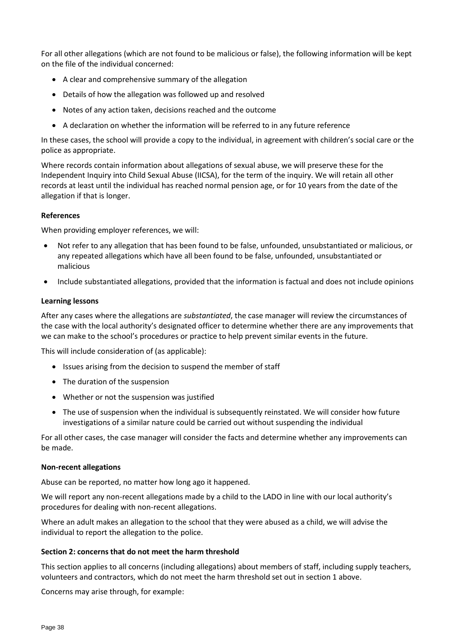For all other allegations (which are not found to be malicious or false), the following information will be kept on the file of the individual concerned:

- A clear and comprehensive summary of the allegation
- Details of how the allegation was followed up and resolved
- Notes of any action taken, decisions reached and the outcome
- A declaration on whether the information will be referred to in any future reference

In these cases, the school will provide a copy to the individual, in agreement with children's social care or the police as appropriate.

Where records contain information about allegations of sexual abuse, we will preserve these for the Independent Inquiry into Child Sexual Abuse (IICSA), for the term of the inquiry. We will retain all other records at least until the individual has reached normal pension age, or for 10 years from the date of the allegation if that is longer.

#### **References**

When providing employer references, we will:

- Not refer to any allegation that has been found to be false, unfounded, unsubstantiated or malicious, or any repeated allegations which have all been found to be false, unfounded, unsubstantiated or malicious
- Include substantiated allegations, provided that the information is factual and does not include opinions

#### **Learning lessons**

After any cases where the allegations are *substantiated*, the case manager will review the circumstances of the case with the local authority's designated officer to determine whether there are any improvements that we can make to the school's procedures or practice to help prevent similar events in the future.

This will include consideration of (as applicable):

- Issues arising from the decision to suspend the member of staff
- The duration of the suspension
- Whether or not the suspension was justified
- The use of suspension when the individual is subsequently reinstated. We will consider how future investigations of a similar nature could be carried out without suspending the individual

For all other cases, the case manager will consider the facts and determine whether any improvements can be made.

#### **Non-recent allegations**

Abuse can be reported, no matter how long ago it happened.

We will report any non-recent allegations made by a child to the LADO in line with our local authority's procedures for dealing with non-recent allegations.

Where an adult makes an allegation to the school that they were abused as a child, we will advise the individual to report the allegation to the police.

#### **Section 2: concerns that do not meet the harm threshold**

This section applies to all concerns (including allegations) about members of staff, including supply teachers, volunteers and contractors, which do not meet the harm threshold set out in section 1 above.

Concerns may arise through, for example: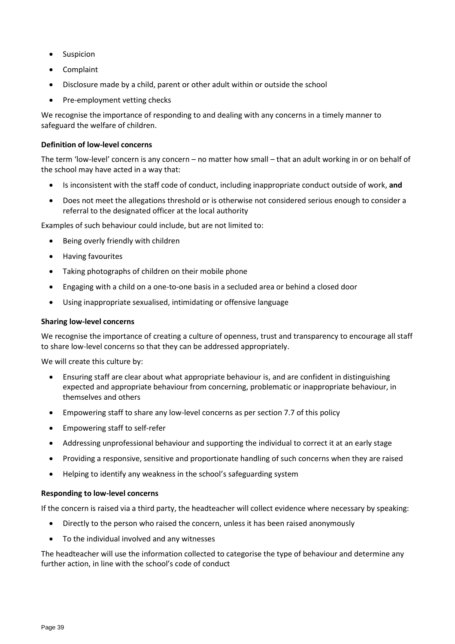- Suspicion
- Complaint
- Disclosure made by a child, parent or other adult within or outside the school
- Pre-employment vetting checks

We recognise the importance of responding to and dealing with any concerns in a timely manner to safeguard the welfare of children.

## **Definition of low-level concerns**

The term 'low-level' concern is any concern – no matter how small – that an adult working in or on behalf of the school may have acted in a way that:

- Is inconsistent with the staff code of conduct, including inappropriate conduct outside of work, **and**
- Does not meet the allegations threshold or is otherwise not considered serious enough to consider a referral to the designated officer at the local authority

Examples of such behaviour could include, but are not limited to:

- Being overly friendly with children
- Having favourites
- Taking photographs of children on their mobile phone
- Engaging with a child on a one-to-one basis in a secluded area or behind a closed door
- Using inappropriate sexualised, intimidating or offensive language

## **Sharing low-level concerns**

We recognise the importance of creating a culture of openness, trust and transparency to encourage all staff to share low-level concerns so that they can be addressed appropriately.

We will create this culture by:

- Ensuring staff are clear about what appropriate behaviour is, and are confident in distinguishing expected and appropriate behaviour from concerning, problematic or inappropriate behaviour, in themselves and others
- Empowering staff to share any low-level concerns as per section 7.7 of this policy
- Empowering staff to self-refer
- Addressing unprofessional behaviour and supporting the individual to correct it at an early stage
- Providing a responsive, sensitive and proportionate handling of such concerns when they are raised
- Helping to identify any weakness in the school's safeguarding system

#### **Responding to low-level concerns**

If the concern is raised via a third party, the headteacher will collect evidence where necessary by speaking:

- Directly to the person who raised the concern, unless it has been raised anonymously
- To the individual involved and any witnesses

The headteacher will use the information collected to categorise the type of behaviour and determine any further action, in line with the school's code of conduct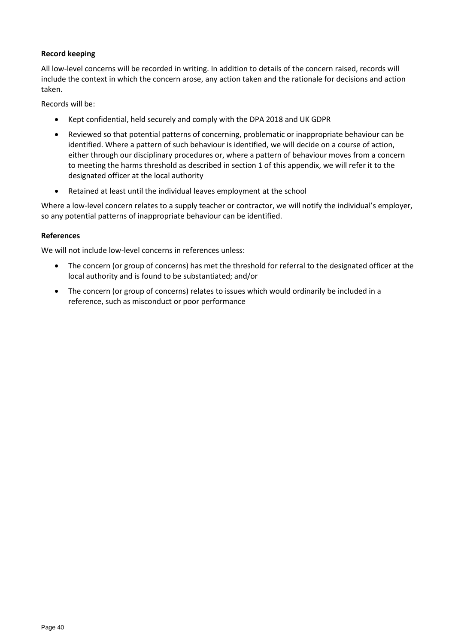## **Record keeping**

All low-level concerns will be recorded in writing. In addition to details of the concern raised, records will include the context in which the concern arose, any action taken and the rationale for decisions and action taken.

Records will be:

- Kept confidential, held securely and comply with the DPA 2018 and UK GDPR
- Reviewed so that potential patterns of concerning, problematic or inappropriate behaviour can be identified. Where a pattern of such behaviour is identified, we will decide on a course of action, either through our disciplinary procedures or, where a pattern of behaviour moves from a concern to meeting the harms threshold as described in section 1 of this appendix, we will refer it to the designated officer at the local authority
- Retained at least until the individual leaves employment at the school

Where a low-level concern relates to a supply teacher or contractor, we will notify the individual's employer, so any potential patterns of inappropriate behaviour can be identified.

## **References**

We will not include low-level concerns in references unless:

- The concern (or group of concerns) has met the threshold for referral to the designated officer at the local authority and is found to be substantiated; and/or
- The concern (or group of concerns) relates to issues which would ordinarily be included in a reference, such as misconduct or poor performance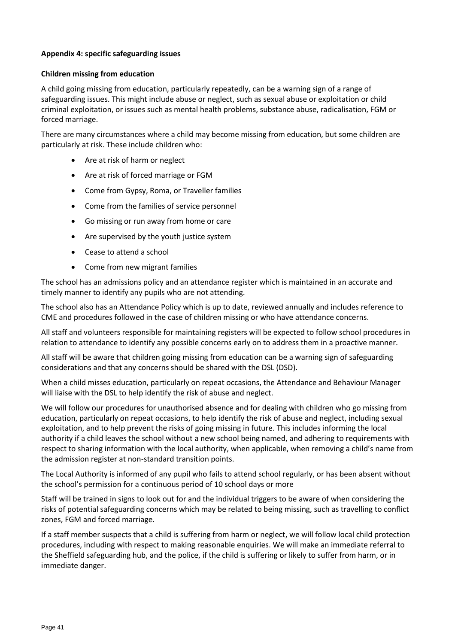## <span id="page-40-0"></span>**Appendix 4: specific safeguarding issues**

## **Children missing from education**

A child going missing from education, particularly repeatedly, can be a warning sign of a range of safeguarding issues. This might include abuse or neglect, such as sexual abuse or exploitation or child criminal exploitation, or issues such as mental health problems, substance abuse, radicalisation, FGM or forced marriage.

There are many circumstances where a child may become missing from education, but some children are particularly at risk. These include children who:

- Are at risk of harm or neglect
- Are at risk of forced marriage or FGM
- Come from Gypsy, Roma, or Traveller families
- Come from the families of service personnel
- Go missing or run away from home or care
- Are supervised by the youth justice system
- Cease to attend a school
- Come from new migrant families

The school has an admissions policy and an attendance register which is maintained in an accurate and timely manner to identify any pupils who are not attending.

The school also has an Attendance Policy which is up to date, reviewed annually and includes reference to CME and procedures followed in the case of children missing or who have attendance concerns.

All staff and volunteers responsible for maintaining registers will be expected to follow school procedures in relation to attendance to identify any possible concerns early on to address them in a proactive manner.

All staff will be aware that children going missing from education can be a warning sign of safeguarding considerations and that any concerns should be shared with the DSL (DSD).

When a child misses education, particularly on repeat occasions, the Attendance and Behaviour Manager will liaise with the DSL to help identify the risk of abuse and neglect.

We will follow our procedures for unauthorised absence and for dealing with children who go missing from education, particularly on repeat occasions, to help identify the risk of abuse and neglect, including sexual exploitation, and to help prevent the risks of going missing in future. This includes informing the local authority if a child leaves the school without a new school being named, and adhering to requirements with respect to sharing information with the local authority, when applicable, when removing a child's name from the admission register at non-standard transition points.

The Local Authority is informed of any pupil who fails to attend school regularly, or has been absent without the school's permission for a continuous period of 10 school days or more

Staff will be trained in signs to look out for and the individual triggers to be aware of when considering the risks of potential safeguarding concerns which may be related to being missing, such as travelling to conflict zones, FGM and forced marriage.

If a staff member suspects that a child is suffering from harm or neglect, we will follow local child protection procedures, including with respect to making reasonable enquiries. We will make an immediate referral to the Sheffield safeguarding hub, and the police, if the child is suffering or likely to suffer from harm, or in immediate danger.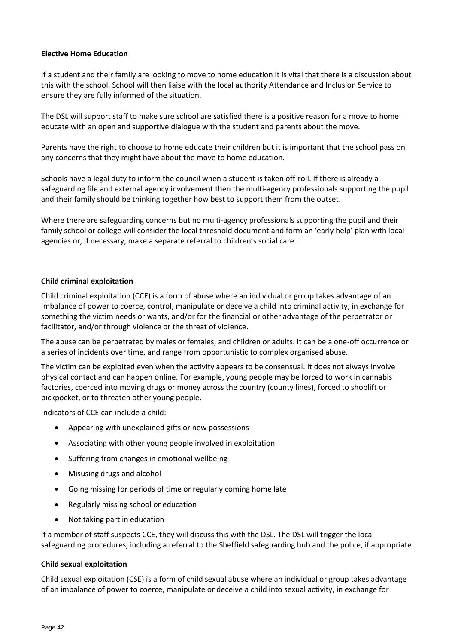## **Elective Home Education**

If a student and their family are looking to move to home education it is vital that there is a discussion about this with the school. School will then liaise with the local authority Attendance and Inclusion Service to ensure they are fully informed of the situation.

The DSL will support staff to make sure school are satisfied there is a positive reason for a move to home educate with an open and supportive dialogue with the student and parents about the move.

Parents have the right to choose to home educate their children but it is important that the school pass on any concerns that they might have about the move to home education.

Schools have a legal duty to inform the council when a student is taken off-roll. If there is already a safeguarding file and external agency involvement then the multi-agency professionals supporting the pupil and their family should be thinking together how best to support them from the outset.

Where there are safeguarding concerns but no multi-agency professionals supporting the pupil and their family school or college will consider the local threshold document and form an 'early help' plan with local agencies or, if necessary, make a separate referral to children's social care.

#### **Child criminal exploitation**

Child criminal exploitation (CCE) is a form of abuse where an individual or group takes advantage of an imbalance of power to coerce, control, manipulate or deceive a child into criminal activity, in exchange for something the victim needs or wants, and/or for the financial or other advantage of the perpetrator or facilitator, and/or through violence or the threat of violence.

The abuse can be perpetrated by males or females, and children or adults. It can be a one-off occurrence or a series of incidents over time, and range from opportunistic to complex organised abuse.

The victim can be exploited even when the activity appears to be consensual. It does not always involve physical contact and can happen online. For example, young people may be forced to work in cannabis factories, coerced into moving drugs or money across the country (county lines), forced to shoplift or pickpocket, or to threaten other young people.

Indicators of CCE can include a child:

- Appearing with unexplained gifts or new possessions
- Associating with other young people involved in exploitation
- Suffering from changes in emotional wellbeing
- Misusing drugs and alcohol
- Going missing for periods of time or regularly coming home late
- Regularly missing school or education
- Not taking part in education

If a member of staff suspects CCE, they will discuss this with the DSL. The DSL will trigger the local safeguarding procedures, including a referral to the Sheffield safeguarding hub and the police, if appropriate.

#### **Child sexual exploitation**

Child sexual exploitation (CSE) is a form of child sexual abuse where an individual or group takes advantage of an imbalance of power to coerce, manipulate or deceive a child into sexual activity, in exchange for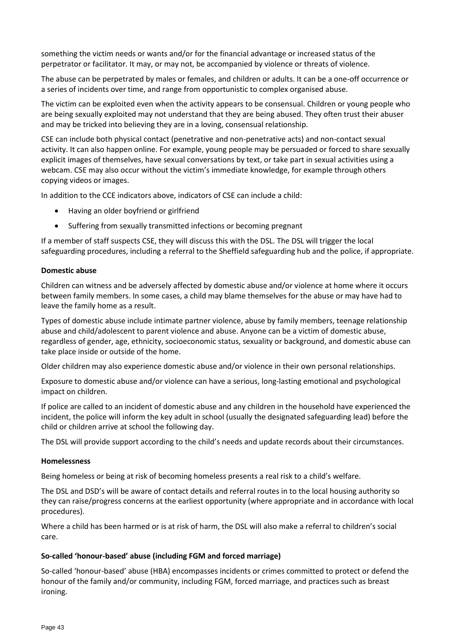something the victim needs or wants and/or for the financial advantage or increased status of the perpetrator or facilitator. It may, or may not, be accompanied by violence or threats of violence.

The abuse can be perpetrated by males or females, and children or adults. It can be a one-off occurrence or a series of incidents over time, and range from opportunistic to complex organised abuse.

The victim can be exploited even when the activity appears to be consensual. Children or young people who are being sexually exploited may not understand that they are being abused. They often trust their abuser and may be tricked into believing they are in a loving, consensual relationship.

CSE can include both physical contact (penetrative and non-penetrative acts) and non-contact sexual activity. It can also happen online. For example, young people may be persuaded or forced to share sexually explicit images of themselves, have sexual conversations by text, or take part in sexual activities using a webcam. CSE may also occur without the victim's immediate knowledge, for example through others copying videos or images.

In addition to the CCE indicators above, indicators of CSE can include a child:

- Having an older boyfriend or girlfriend
- Suffering from sexually transmitted infections or becoming pregnant

If a member of staff suspects CSE, they will discuss this with the DSL. The DSL will trigger the local safeguarding procedures, including a referral to the Sheffield safeguarding hub and the police, if appropriate.

#### **Domestic abuse**

Children can witness and be adversely affected by domestic abuse and/or violence at home where it occurs between family members. In some cases, a child may blame themselves for the abuse or may have had to leave the family home as a result.

Types of domestic abuse include intimate partner violence, abuse by family members, teenage relationship abuse and child/adolescent to parent violence and abuse. Anyone can be a victim of domestic abuse, regardless of gender, age, ethnicity, socioeconomic status, sexuality or background, and domestic abuse can take place inside or outside of the home.

Older children may also experience domestic abuse and/or violence in their own personal relationships.

Exposure to domestic abuse and/or violence can have a serious, long-lasting emotional and psychological impact on children.

If police are called to an incident of domestic abuse and any children in the household have experienced the incident, the police will inform the key adult in school (usually the designated safeguarding lead) before the child or children arrive at school the following day.

The DSL will provide support according to the child's needs and update records about their circumstances.

#### **Homelessness**

Being homeless or being at risk of becoming homeless presents a real risk to a child's welfare.

The DSL and DSD's will be aware of contact details and referral routes in to the local housing authority so they can raise/progress concerns at the earliest opportunity (where appropriate and in accordance with local procedures).

Where a child has been harmed or is at risk of harm, the DSL will also make a referral to children's social care.

#### **So-called 'honour-based' abuse (including FGM and forced marriage)**

So-called 'honour-based' abuse (HBA) encompasses incidents or crimes committed to protect or defend the honour of the family and/or community, including FGM, forced marriage, and practices such as breast ironing.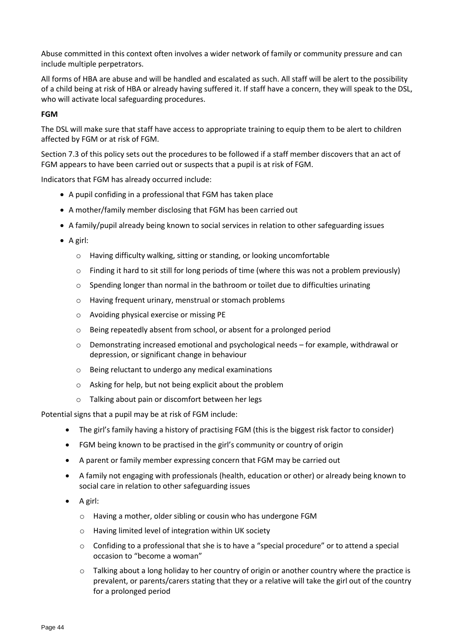Abuse committed in this context often involves a wider network of family or community pressure and can include multiple perpetrators.

All forms of HBA are abuse and will be handled and escalated as such. All staff will be alert to the possibility of a child being at risk of HBA or already having suffered it. If staff have a concern, they will speak to the DSL, who will activate local safeguarding procedures.

## **FGM**

The DSL will make sure that staff have access to appropriate training to equip them to be alert to children affected by FGM or at risk of FGM.

Section 7.3 of this policy sets out the procedures to be followed if a staff member discovers that an act of FGM appears to have been carried out or suspects that a pupil is at risk of FGM.

Indicators that FGM has already occurred include:

- A pupil confiding in a professional that FGM has taken place
- A mother/family member disclosing that FGM has been carried out
- A family/pupil already being known to social services in relation to other safeguarding issues
- A girl:
	- o Having difficulty walking, sitting or standing, or looking uncomfortable
	- $\circ$  Finding it hard to sit still for long periods of time (where this was not a problem previously)
	- o Spending longer than normal in the bathroom or toilet due to difficulties urinating
	- o Having frequent urinary, menstrual or stomach problems
	- o Avoiding physical exercise or missing PE
	- o Being repeatedly absent from school, or absent for a prolonged period
	- o Demonstrating increased emotional and psychological needs for example, withdrawal or depression, or significant change in behaviour
	- o Being reluctant to undergo any medical examinations
	- o Asking for help, but not being explicit about the problem
	- o Talking about pain or discomfort between her legs

Potential signs that a pupil may be at risk of FGM include:

- The girl's family having a history of practising FGM (this is the biggest risk factor to consider)
- FGM being known to be practised in the girl's community or country of origin
- A parent or family member expressing concern that FGM may be carried out
- A family not engaging with professionals (health, education or other) or already being known to social care in relation to other safeguarding issues
- A girl:
	- o Having a mother, older sibling or cousin who has undergone FGM
	- o Having limited level of integration within UK society
	- $\circ$  Confiding to a professional that she is to have a "special procedure" or to attend a special occasion to "become a woman"
	- $\circ$  Talking about a long holiday to her country of origin or another country where the practice is prevalent, or parents/carers stating that they or a relative will take the girl out of the country for a prolonged period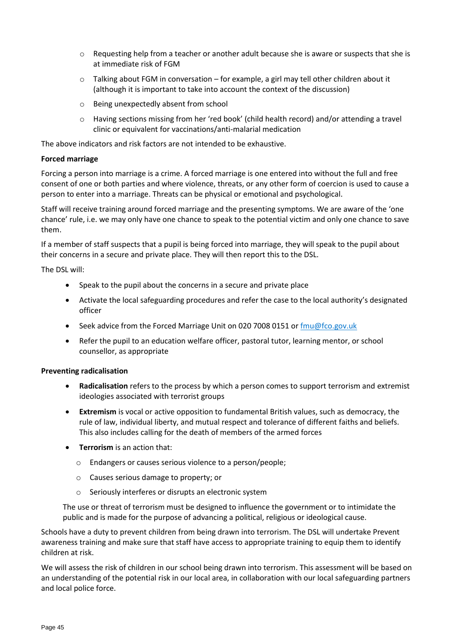- $\circ$  Requesting help from a teacher or another adult because she is aware or suspects that she is at immediate risk of FGM
- o Talking about FGM in conversation for example, a girl may tell other children about it (although it is important to take into account the context of the discussion)
- o Being unexpectedly absent from school
- o Having sections missing from her 'red book' (child health record) and/or attending a travel clinic or equivalent for vaccinations/anti-malarial medication

The above indicators and risk factors are not intended to be exhaustive.

## **Forced marriage**

Forcing a person into marriage is a crime. A forced marriage is one entered into without the full and free consent of one or both parties and where violence, threats, or any other form of coercion is used to cause a person to enter into a marriage. Threats can be physical or emotional and psychological.

Staff will receive training around forced marriage and the presenting symptoms. We are aware of the 'one chance' rule, i.e. we may only have one chance to speak to the potential victim and only one chance to save them.

If a member of staff suspects that a pupil is being forced into marriage, they will speak to the pupil about their concerns in a secure and private place. They will then report this to the DSL.

The DSL will:

- Speak to the pupil about the concerns in a secure and private place
- Activate the local safeguarding procedures and refer the case to the local authority's designated officer
- Seek advice from the Forced Marriage Unit on 020 7008 0151 o[r fmu@fco.gov.uk](mailto:fmu@fco.gov.uk)
- Refer the pupil to an education welfare officer, pastoral tutor, learning mentor, or school counsellor, as appropriate

#### **Preventing radicalisation**

- **Radicalisation** refers to the process by which a person comes to support terrorism and extremist ideologies associated with terrorist groups
- **Extremism** is vocal or active opposition to fundamental British values, such as democracy, the rule of law, individual liberty, and mutual respect and tolerance of different faiths and beliefs. This also includes calling for the death of members of the armed forces
- **Terrorism** is an action that:
	- o Endangers or causes serious violence to a person/people;
	- o Causes serious damage to property; or
	- o Seriously interferes or disrupts an electronic system

The use or threat of terrorism must be designed to influence the government or to intimidate the public and is made for the purpose of advancing a political, religious or ideological cause.

Schools have a duty to prevent children from being drawn into terrorism. The DSL will undertake Prevent awareness training and make sure that staff have access to appropriate training to equip them to identify children at risk.

We will assess the risk of children in our school being drawn into terrorism. This assessment will be based on an understanding of the potential risk in our local area, in collaboration with our local safeguarding partners and local police force.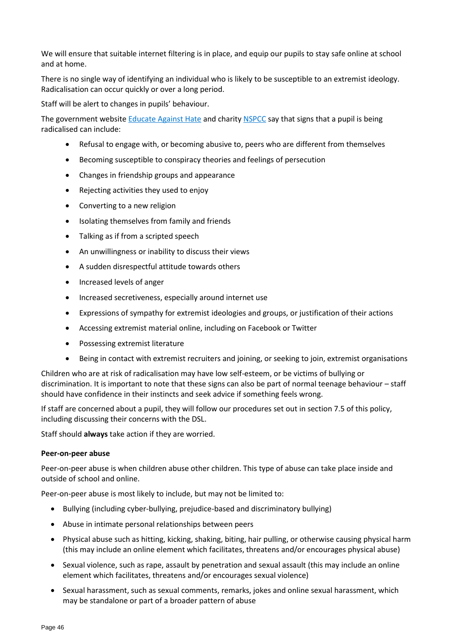We will ensure that suitable internet filtering is in place, and equip our pupils to stay safe online at school and at home.

There is no single way of identifying an individual who is likely to be susceptible to an extremist ideology. Radicalisation can occur quickly or over a long period.

Staff will be alert to changes in pupils' behaviour.

The government website [Educate Against Hate](http://educateagainsthate.com/parents/what-are-the-warning-signs/) and charity [NSPCC](https://www.nspcc.org.uk/what-you-can-do/report-abuse/dedicated-helplines/protecting-children-from-radicalisation/) say that signs that a pupil is being radicalised can include:

- Refusal to engage with, or becoming abusive to, peers who are different from themselves
- Becoming susceptible to conspiracy theories and feelings of persecution
- Changes in friendship groups and appearance
- Rejecting activities they used to enjoy
- Converting to a new religion
- Isolating themselves from family and friends
- Talking as if from a scripted speech
- An unwillingness or inability to discuss their views
- A sudden disrespectful attitude towards others
- Increased levels of anger
- Increased secretiveness, especially around internet use
- Expressions of sympathy for extremist ideologies and groups, or justification of their actions
- Accessing extremist material online, including on Facebook or Twitter
- Possessing extremist literature
- Being in contact with extremist recruiters and joining, or seeking to join, extremist organisations

Children who are at risk of radicalisation may have low self-esteem, or be victims of bullying or discrimination. It is important to note that these signs can also be part of normal teenage behaviour – staff should have confidence in their instincts and seek advice if something feels wrong.

If staff are concerned about a pupil, they will follow our procedures set out in section 7.5 of this policy, including discussing their concerns with the DSL.

Staff should **always** take action if they are worried.

#### **Peer-on-peer abuse**

Peer-on-peer abuse is when children abuse other children. This type of abuse can take place inside and outside of school and online.

Peer-on-peer abuse is most likely to include, but may not be limited to:

- Bullying (including cyber-bullying, prejudice-based and discriminatory bullying)
- Abuse in intimate personal relationships between peers
- Physical abuse such as hitting, kicking, shaking, biting, hair pulling, or otherwise causing physical harm (this may include an online element which facilitates, threatens and/or encourages physical abuse)
- Sexual violence, such as rape, assault by penetration and sexual assault (this may include an online element which facilitates, threatens and/or encourages sexual violence)
- Sexual harassment, such as sexual comments, remarks, jokes and online sexual harassment, which may be standalone or part of a broader pattern of abuse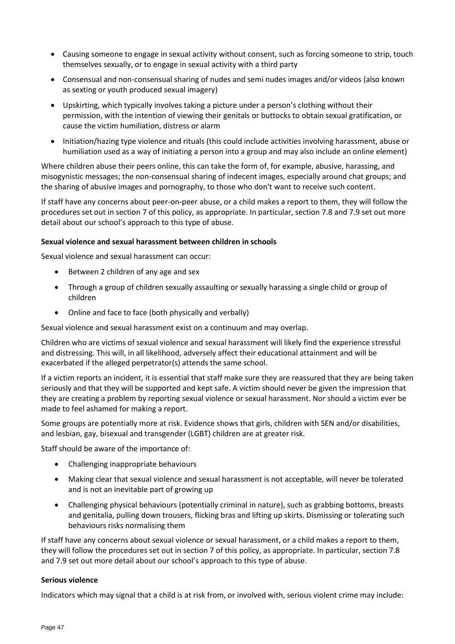- Causing someone to engage in sexual activity without consent, such as forcing someone to strip, touch themselves sexually, or to engage in sexual activity with a third party
- Consensual and non-consensual sharing of nudes and semi nudes images and/or videos (also known as sexting or youth produced sexual imagery)
- Upskirting, which typically involves taking a picture under a person's clothing without their permission, with the intention of viewing their genitals or buttocks to obtain sexual gratification, or cause the victim humiliation, distress or alarm
- Initiation/hazing type violence and rituals (this could include activities involving harassment, abuse or humiliation used as a way of initiating a person into a group and may also include an online element)

Where children abuse their peers online, this can take the form of, for example, abusive, harassing, and misogynistic messages; the non-consensual sharing of indecent images, especially around chat groups; and the sharing of abusive images and pornography, to those who don't want to receive such content.

If staff have any concerns about peer-on-peer abuse, or a child makes a report to them, they will follow the procedures set out in section 7 of this policy, as appropriate. In particular, section 7.8 and 7.9 set out more detail about our school's approach to this type of abuse.

## **Sexual violence and sexual harassment between children in schools**

Sexual violence and sexual harassment can occur:

- Between 2 children of any age and sex
- Through a group of children sexually assaulting or sexually harassing a single child or group of children
- Online and face to face (both physically and verbally)

Sexual violence and sexual harassment exist on a continuum and may overlap.

Children who are victims of sexual violence and sexual harassment will likely find the experience stressful and distressing. This will, in all likelihood, adversely affect their educational attainment and will be exacerbated if the alleged perpetrator(s) attends the same school.

If a victim reports an incident, it is essential that staff make sure they are reassured that they are being taken seriously and that they will be supported and kept safe. A victim should never be given the impression that they are creating a problem by reporting sexual violence or sexual harassment. Nor should a victim ever be made to feel ashamed for making a report.

Some groups are potentially more at risk. Evidence shows that girls, children with SEN and/or disabilities, and lesbian, gay, bisexual and transgender (LGBT) children are at greater risk.

Staff should be aware of the importance of:

- Challenging inappropriate behaviours
- Making clear that sexual violence and sexual harassment is not acceptable, will never be tolerated and is not an inevitable part of growing up
- Challenging physical behaviours (potentially criminal in nature), such as grabbing bottoms, breasts and genitalia, pulling down trousers, flicking bras and lifting up skirts. Dismissing or tolerating such behaviours risks normalising them

If staff have any concerns about sexual violence or sexual harassment, or a child makes a report to them, they will follow the procedures set out in section 7 of this policy, as appropriate. In particular, section 7.8 and 7.9 set out more detail about our school's approach to this type of abuse.

#### **Serious violence**

Indicators which may signal that a child is at risk from, or involved with, serious violent crime may include: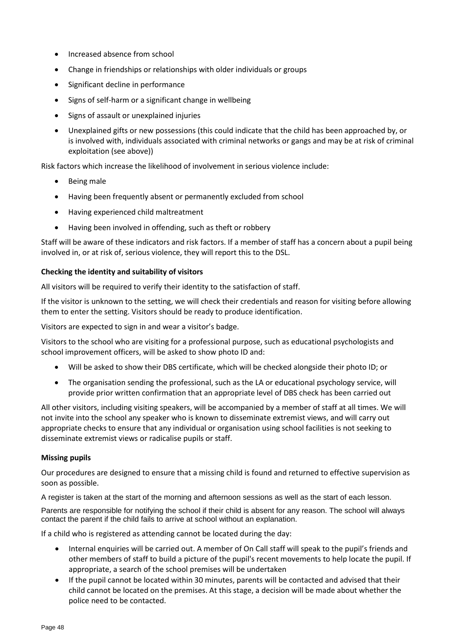- Increased absence from school
- Change in friendships or relationships with older individuals or groups
- Significant decline in performance
- Signs of self-harm or a significant change in wellbeing
- Signs of assault or unexplained injuries
- Unexplained gifts or new possessions (this could indicate that the child has been approached by, or is involved with, individuals associated with criminal networks or gangs and may be at risk of criminal exploitation (see above))

Risk factors which increase the likelihood of involvement in serious violence include:

- Being male
- Having been frequently absent or permanently excluded from school
- Having experienced child maltreatment
- Having been involved in offending, such as theft or robbery

Staff will be aware of these indicators and risk factors. If a member of staff has a concern about a pupil being involved in, or at risk of, serious violence, they will report this to the DSL.

#### **Checking the identity and suitability of visitors**

All visitors will be required to verify their identity to the satisfaction of staff.

If the visitor is unknown to the setting, we will check their credentials and reason for visiting before allowing them to enter the setting. Visitors should be ready to produce identification.

Visitors are expected to sign in and wear a visitor's badge.

Visitors to the school who are visiting for a professional purpose, such as educational psychologists and school improvement officers, will be asked to show photo ID and:

- Will be asked to show their DBS certificate, which will be checked alongside their photo ID; or
- The organisation sending the professional, such as the LA or educational psychology service, will provide prior written confirmation that an appropriate level of DBS check has been carried out

All other visitors, including visiting speakers, will be accompanied by a member of staff at all times. We will not invite into the school any speaker who is known to disseminate extremist views, and will carry out appropriate checks to ensure that any individual or organisation using school facilities is not seeking to disseminate extremist views or radicalise pupils or staff.

#### **Missing pupils**

Our procedures are designed to ensure that a missing child is found and returned to effective supervision as soon as possible.

A register is taken at the start of the morning and afternoon sessions as well as the start of each lesson.

Parents are responsible for notifying the school if their child is absent for any reason. The school will always contact the parent if the child fails to arrive at school without an explanation.

If a child who is registered as attending cannot be located during the day:

- Internal enquiries will be carried out. A member of On Call staff will speak to the pupil's friends and other members of staff to build a picture of the pupil's recent movements to help locate the pupil. If appropriate, a search of the school premises will be undertaken
- If the pupil cannot be located within 30 minutes, parents will be contacted and advised that their child cannot be located on the premises. At this stage, a decision will be made about whether the police need to be contacted.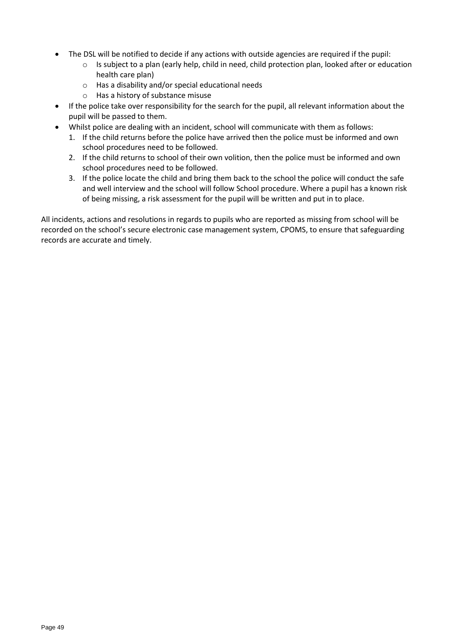- The DSL will be notified to decide if any actions with outside agencies are required if the pupil:
	- o Is subject to a plan (early help, child in need, child protection plan, looked after or education health care plan)
	- o Has a disability and/or special educational needs
	- o Has a history of substance misuse
- If the police take over responsibility for the search for the pupil, all relevant information about the pupil will be passed to them.
- Whilst police are dealing with an incident, school will communicate with them as follows:
	- 1. If the child returns before the police have arrived then the police must be informed and own school procedures need to be followed.
	- 2. If the child returns to school of their own volition, then the police must be informed and own school procedures need to be followed.
	- 3. If the police locate the child and bring them back to the school the police will conduct the safe and well interview and the school will follow School procedure. Where a pupil has a known risk of being missing, a risk assessment for the pupil will be written and put in to place.

All incidents, actions and resolutions in regards to pupils who are reported as missing from school will be recorded on the school's secure electronic case management system, CPOMS, to ensure that safeguarding records are accurate and timely.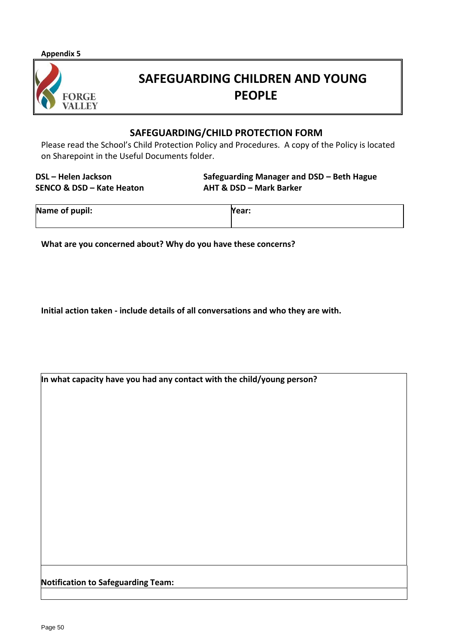**Appendix 5**



# **SAFEGUARDING CHILDREN AND YOUNG PEOPLE**

## **SAFEGUARDING/CHILD PROTECTION FORM**

Please read the School's Child Protection Policy and Procedures. A copy of the Policy is located on Sharepoint in the Useful Documents folder.

**SENCO & DSD – Kate Heaton AHT & DSD – Mark Barker**

**DSL – Helen Jackson Safeguarding Manager and DSD – Beth Hague**

| Name of pupil: | Year: |
|----------------|-------|
|                |       |

**What are you concerned about? Why do you have these concerns?**

**Initial action taken - include details of all conversations and who they are with.**

**In what capacity have you had any contact with the child/young person?**

**Notification to Safeguarding Team:**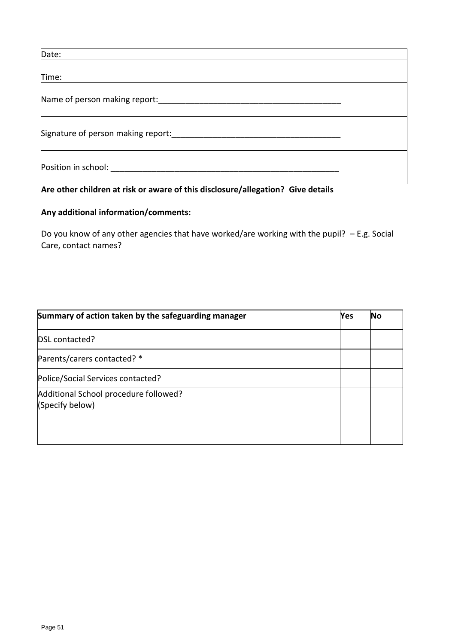| Date:                              |  |
|------------------------------------|--|
|                                    |  |
| Time:                              |  |
|                                    |  |
| Name of person making report:      |  |
|                                    |  |
|                                    |  |
| Signature of person making report: |  |
|                                    |  |
|                                    |  |
| Position in school: ________       |  |
|                                    |  |

# **Are other children at risk or aware of this disclosure/allegation? Give details**

# **Any additional information/comments:**

Do you know of any other agencies that have worked/are working with the pupil? – E.g. Social Care, contact names?

| Summary of action taken by the safeguarding manager      | Yes | <b>No</b> |
|----------------------------------------------------------|-----|-----------|
| <b>DSL</b> contacted?                                    |     |           |
| Parents/carers contacted? *                              |     |           |
| Police/Social Services contacted?                        |     |           |
| Additional School procedure followed?<br>(Specify below) |     |           |